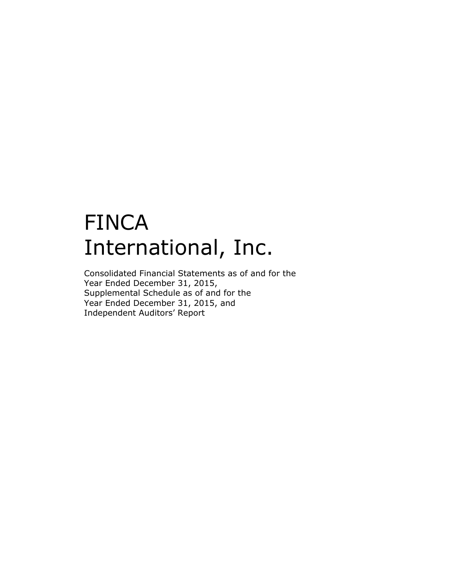# FINCA International, Inc.

Consolidated Financial Statements as of and for the Year Ended December 31, 2015, Supplemental Schedule as of and for the Year Ended December 31, 2015, and Independent Auditors' Report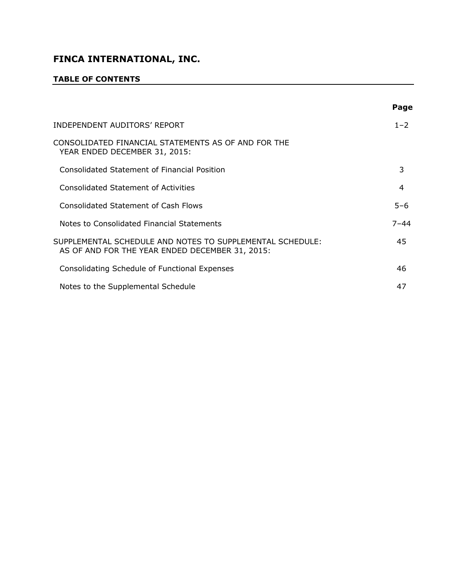## **TABLE OF CONTENTS**

|                                                                                                              | Page     |
|--------------------------------------------------------------------------------------------------------------|----------|
| INDEPENDENT AUDITORS' REPORT                                                                                 | $1 - 2$  |
| CONSOLIDATED FINANCIAL STATEMENTS AS OF AND FOR THE<br>YEAR ENDED DECEMBER 31, 2015:                         |          |
| Consolidated Statement of Financial Position                                                                 | 3        |
| Consolidated Statement of Activities                                                                         | 4        |
| Consolidated Statement of Cash Flows                                                                         | $5 - 6$  |
| Notes to Consolidated Financial Statements                                                                   | $7 - 44$ |
| SUPPLEMENTAL SCHEDULE AND NOTES TO SUPPLEMENTAL SCHEDULE:<br>AS OF AND FOR THE YEAR ENDED DECEMBER 31, 2015: | 45       |
| Consolidating Schedule of Functional Expenses                                                                | 46       |
| Notes to the Supplemental Schedule                                                                           | 47       |
|                                                                                                              |          |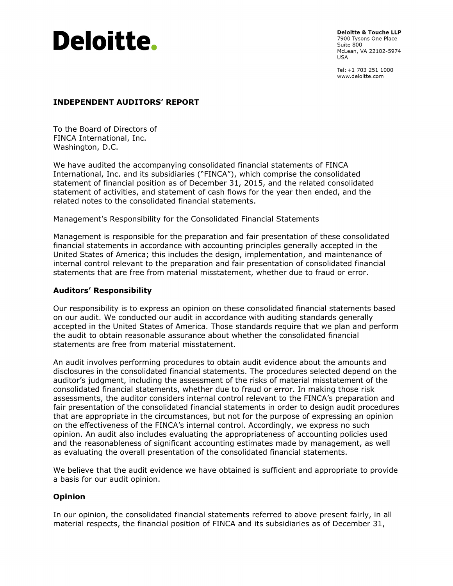

**Deloitte & Touche LLP** 7900 Tysons One Place Suite 800 McLean, VA 22102-5974 **USA** 

Tel: +1 703 251 1000 www.deloitte.com

#### **INDEPENDENT AUDITORS' REPORT**

To the Board of Directors of FINCA International, Inc. Washington, D.C.

We have audited the accompanying consolidated financial statements of FINCA International, Inc. and its subsidiaries ("FINCA"), which comprise the consolidated statement of financial position as of December 31, 2015, and the related consolidated statement of activities, and statement of cash flows for the year then ended, and the related notes to the consolidated financial statements.

Management's Responsibility for the Consolidated Financial Statements

Management is responsible for the preparation and fair presentation of these consolidated financial statements in accordance with accounting principles generally accepted in the United States of America; this includes the design, implementation, and maintenance of internal control relevant to the preparation and fair presentation of consolidated financial statements that are free from material misstatement, whether due to fraud or error.

#### **Auditors' Responsibility**

Our responsibility is to express an opinion on these consolidated financial statements based on our audit. We conducted our audit in accordance with auditing standards generally accepted in the United States of America. Those standards require that we plan and perform the audit to obtain reasonable assurance about whether the consolidated financial statements are free from material misstatement.

An audit involves performing procedures to obtain audit evidence about the amounts and disclosures in the consolidated financial statements. The procedures selected depend on the auditor's judgment, including the assessment of the risks of material misstatement of the consolidated financial statements, whether due to fraud or error. In making those risk assessments, the auditor considers internal control relevant to the FINCA's preparation and fair presentation of the consolidated financial statements in order to design audit procedures that are appropriate in the circumstances, but not for the purpose of expressing an opinion on the effectiveness of the FINCA's internal control. Accordingly, we express no such opinion. An audit also includes evaluating the appropriateness of accounting policies used and the reasonableness of significant accounting estimates made by management, as well as evaluating the overall presentation of the consolidated financial statements.

We believe that the audit evidence we have obtained is sufficient and appropriate to provide a basis for our audit opinion.

#### **Opinion**

In our opinion, the consolidated financial statements referred to above present fairly, in all material respects, the financial position of FINCA and its subsidiaries as of December 31,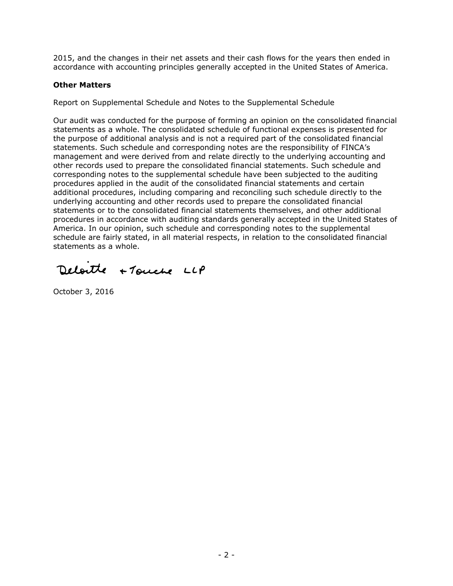2015, and the changes in their net assets and their cash flows for the years then ended in accordance with accounting principles generally accepted in the United States of America.

#### **Other Matters**

Report on Supplemental Schedule and Notes to the Supplemental Schedule

Our audit was conducted for the purpose of forming an opinion on the consolidated financial statements as a whole. The consolidated schedule of functional expenses is presented for the purpose of additional analysis and is not a required part of the consolidated financial statements. Such schedule and corresponding notes are the responsibility of FINCA's management and were derived from and relate directly to the underlying accounting and other records used to prepare the consolidated financial statements. Such schedule and corresponding notes to the supplemental schedule have been subjected to the auditing procedures applied in the audit of the consolidated financial statements and certain additional procedures, including comparing and reconciling such schedule directly to the underlying accounting and other records used to prepare the consolidated financial statements or to the consolidated financial statements themselves, and other additional procedures in accordance with auditing standards generally accepted in the United States of America. In our opinion, such schedule and corresponding notes to the supplemental schedule are fairly stated, in all material respects, in relation to the consolidated financial statements as a whole.

Deloite +Touche LLP

October 3, 2016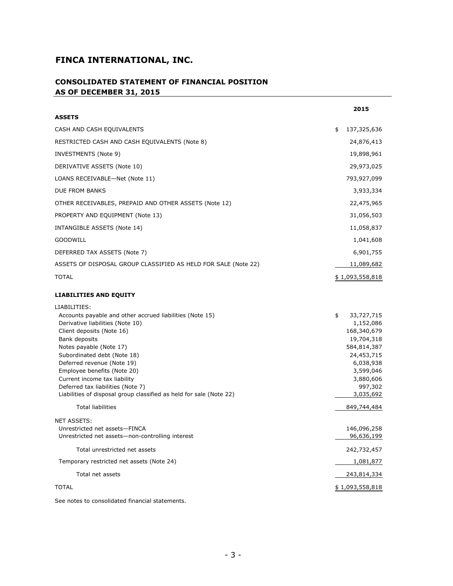#### **CONSOLIDATED STATEMENT OF FINANCIAL POSITION AS OF DECEMBER 31, 2015**

|                                                                                                                                                                                                                                                                                                                                                                                                                                                           | 2015                                                                                                                                                                  |
|-----------------------------------------------------------------------------------------------------------------------------------------------------------------------------------------------------------------------------------------------------------------------------------------------------------------------------------------------------------------------------------------------------------------------------------------------------------|-----------------------------------------------------------------------------------------------------------------------------------------------------------------------|
| <b>ASSETS</b>                                                                                                                                                                                                                                                                                                                                                                                                                                             |                                                                                                                                                                       |
| CASH AND CASH EQUIVALENTS                                                                                                                                                                                                                                                                                                                                                                                                                                 | \$<br>137,325,636                                                                                                                                                     |
| RESTRICTED CASH AND CASH EQUIVALENTS (Note 8)                                                                                                                                                                                                                                                                                                                                                                                                             | 24,876,413                                                                                                                                                            |
| INVESTMENTS (Note 9)                                                                                                                                                                                                                                                                                                                                                                                                                                      | 19,898,961                                                                                                                                                            |
| DERIVATIVE ASSETS (Note 10)                                                                                                                                                                                                                                                                                                                                                                                                                               | 29,973,025                                                                                                                                                            |
| LOANS RECEIVABLE-Net (Note 11)                                                                                                                                                                                                                                                                                                                                                                                                                            | 793,927,099                                                                                                                                                           |
| DUE FROM BANKS                                                                                                                                                                                                                                                                                                                                                                                                                                            | 3,933,334                                                                                                                                                             |
| OTHER RECEIVABLES, PREPAID AND OTHER ASSETS (Note 12)                                                                                                                                                                                                                                                                                                                                                                                                     | 22,475,965                                                                                                                                                            |
| PROPERTY AND EQUIPMENT (Note 13)                                                                                                                                                                                                                                                                                                                                                                                                                          | 31,056,503                                                                                                                                                            |
| INTANGIBLE ASSETS (Note 14)                                                                                                                                                                                                                                                                                                                                                                                                                               | 11,058,837                                                                                                                                                            |
| <b>GOODWILL</b>                                                                                                                                                                                                                                                                                                                                                                                                                                           | 1,041,608                                                                                                                                                             |
| DEFERRED TAX ASSETS (Note 7)                                                                                                                                                                                                                                                                                                                                                                                                                              | 6,901,755                                                                                                                                                             |
| ASSETS OF DISPOSAL GROUP CLASSIFIED AS HELD FOR SALE (Note 22)                                                                                                                                                                                                                                                                                                                                                                                            | 11,089,682                                                                                                                                                            |
| <b>TOTAL</b>                                                                                                                                                                                                                                                                                                                                                                                                                                              | \$1,093,558,818                                                                                                                                                       |
| <b>LIABILITIES AND EQUITY</b>                                                                                                                                                                                                                                                                                                                                                                                                                             |                                                                                                                                                                       |
| LIABILITIES:<br>Accounts payable and other accrued liabilities (Note 15)<br>Derivative liabilities (Note 10)<br>Client deposits (Note 16)<br>Bank deposits<br>Notes payable (Note 17)<br>Subordinated debt (Note 18)<br>Deferred revenue (Note 19)<br>Employee benefits (Note 20)<br>Current income tax liability<br>Deferred tax liabilities (Note 7)<br>Liabilities of disposal group classified as held for sale (Note 22)<br><b>Total liabilities</b> | \$<br>33,727,715<br>1,152,086<br>168,340,679<br>19,704,318<br>584,814,387<br>24,453,715<br>6,038,938<br>3,599,046<br>3,880,606<br>997,302<br>3,035,692<br>849,744,484 |
| <b>NET ASSETS:</b><br>Unrestricted net assets-FINCA<br>Unrestricted net assets-non-controlling interest                                                                                                                                                                                                                                                                                                                                                   | 146,096,258<br>96,636,199                                                                                                                                             |
| Total unrestricted net assets                                                                                                                                                                                                                                                                                                                                                                                                                             | 242,732,457                                                                                                                                                           |
| Temporary restricted net assets (Note 24)                                                                                                                                                                                                                                                                                                                                                                                                                 | 1,081,877                                                                                                                                                             |
| Total net assets                                                                                                                                                                                                                                                                                                                                                                                                                                          | 243,814,334                                                                                                                                                           |
| <b>TOTAL</b>                                                                                                                                                                                                                                                                                                                                                                                                                                              | \$1,093,558,818                                                                                                                                                       |
| See notes to consolidated financial statements.                                                                                                                                                                                                                                                                                                                                                                                                           |                                                                                                                                                                       |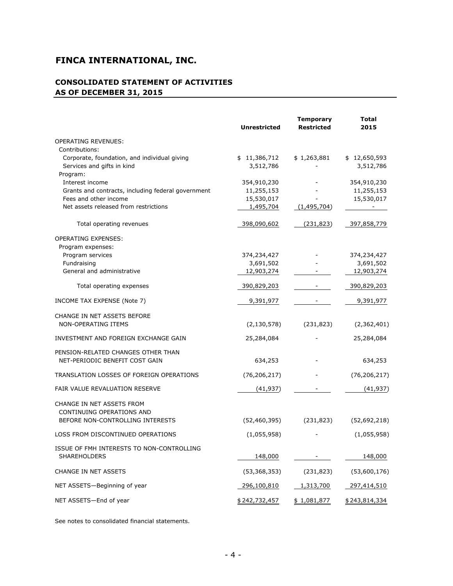## **CONSOLIDATED STATEMENT OF ACTIVITIES AS OF DECEMBER 31, 2015**

|                                                    | <b>Unrestricted</b> | <b>Temporary</b><br><b>Restricted</b> | <b>Total</b><br>2015     |
|----------------------------------------------------|---------------------|---------------------------------------|--------------------------|
| <b>OPERATING REVENUES:</b>                         |                     |                                       |                          |
| Contributions:                                     |                     |                                       |                          |
| Corporate, foundation, and individual giving       | \$11,386,712        | \$1,263,881                           | \$12,650,593             |
| Services and gifts in kind                         | 3,512,786           |                                       | 3,512,786                |
| Program:                                           |                     |                                       |                          |
| Interest income                                    | 354,910,230         |                                       | 354,910,230              |
| Grants and contracts, including federal government | 11,255,153          |                                       | 11,255,153               |
| Fees and other income                              | 15,530,017          |                                       | 15,530,017               |
| Net assets released from restrictions              | 1,495,704           | (1,495,704)                           | $\overline{\phantom{a}}$ |
| Total operating revenues                           | 398,090,602         | (231, 823)                            | 397,858,779              |
| <b>OPERATING EXPENSES:</b>                         |                     |                                       |                          |
| Program expenses:                                  |                     |                                       |                          |
| Program services                                   | 374,234,427         |                                       | 374,234,427              |
| Fundraising                                        | 3,691,502           |                                       | 3,691,502                |
| General and administrative                         | 12,903,274          |                                       | 12,903,274               |
| Total operating expenses                           | 390,829,203         |                                       | 390,829,203              |
| INCOME TAX EXPENSE (Note 7)                        | 9,391,977           |                                       | 9,391,977                |
| CHANGE IN NET ASSETS BEFORE                        |                     |                                       |                          |
| <b>NON-OPERATING ITEMS</b>                         | (2, 130, 578)       | (231, 823)                            | (2,362,401)              |
| INVESTMENT AND FOREIGN EXCHANGE GAIN               | 25,284,084          |                                       | 25,284,084               |
| PENSION-RELATED CHANGES OTHER THAN                 |                     |                                       |                          |
| NET-PERIODIC BENEFIT COST GAIN                     | 634,253             |                                       | 634,253                  |
| TRANSLATION LOSSES OF FOREIGN OPERATIONS           | (76, 206, 217)      |                                       | (76, 206, 217)           |
| FAIR VALUE REVALUATION RESERVE                     | (41, 937)           |                                       | (41, 937)                |
|                                                    |                     |                                       |                          |
| CHANGE IN NET ASSETS FROM                          |                     |                                       |                          |
| CONTINUING OPERATIONS AND                          |                     |                                       |                          |
| BEFORE NON-CONTROLLING INTERESTS                   | (52, 460, 395)      | (231, 823)                            | (52,692,218)             |
| LOSS FROM DISCONTINUED OPERATIONS                  | (1,055,958)         |                                       | (1,055,958)              |
| ISSUE OF FMH INTERESTS TO NON-CONTROLLING          |                     |                                       |                          |
| <b>SHAREHOLDERS</b>                                | 148,000             |                                       | 148,000                  |
|                                                    |                     |                                       |                          |
| CHANGE IN NET ASSETS                               | (53, 368, 353)      | (231, 823)                            | (53,600,176)             |
| NET ASSETS-Beginning of year                       | 296,100,810         | 1,313,700                             | 297,414,510              |
| NET ASSETS-End of year                             | \$242,732,457       | \$1,081,877                           | \$243,814,334            |

See notes to consolidated financial statements.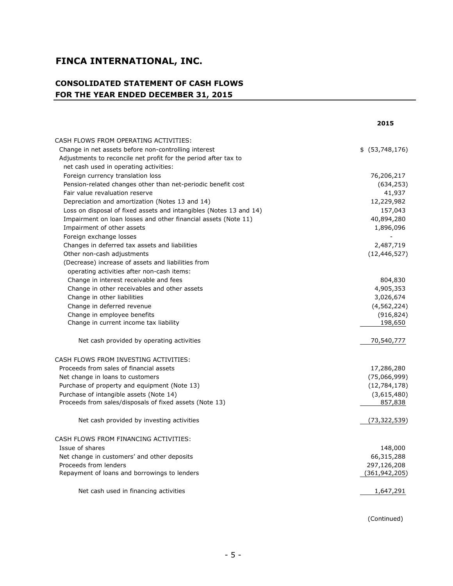## **CONSOLIDATED STATEMENT OF CASH FLOWS FOR THE YEAR ENDED DECEMBER 31, 2015**

|                                                                    | 2015                        |
|--------------------------------------------------------------------|-----------------------------|
| CASH FLOWS FROM OPERATING ACTIVITIES:                              |                             |
| Change in net assets before non-controlling interest               | \$ (53,748,176)             |
| Adjustments to reconcile net profit for the period after tax to    |                             |
| net cash used in operating activities:                             |                             |
| Foreign currency translation loss                                  | 76,206,217                  |
| Pension-related changes other than net-periodic benefit cost       | (634, 253)                  |
| Fair value revaluation reserve                                     | 41,937                      |
| Depreciation and amortization (Notes 13 and 14)                    | 12,229,982                  |
| Loss on disposal of fixed assets and intangibles (Notes 13 and 14) | 157,043                     |
| Impairment on loan losses and other financial assets (Note 11)     | 40,894,280                  |
| Impairment of other assets                                         | 1,896,096                   |
| Foreign exchange losses                                            |                             |
| Changes in deferred tax assets and liabilities                     |                             |
| Other non-cash adjustments                                         | 2,487,719<br>(12, 446, 527) |
| (Decrease) increase of assets and liabilities from                 |                             |
| operating activities after non-cash items:                         |                             |
| Change in interest receivable and fees                             |                             |
| Change in other receivables and other assets                       | 804,830<br>4,905,353        |
| Change in other liabilities                                        |                             |
| Change in deferred revenue                                         | 3,026,674<br>(4, 562, 224)  |
| Change in employee benefits                                        | (916, 824)                  |
| Change in current income tax liability                             | 198,650                     |
|                                                                    |                             |
| Net cash provided by operating activities                          | 70,540,777                  |
| CASH FLOWS FROM INVESTING ACTIVITIES:                              |                             |
| Proceeds from sales of financial assets                            | 17,286,280                  |
| Net change in loans to customers                                   | (75,066,999)                |
| Purchase of property and equipment (Note 13)                       | (12,784,178)                |
| Purchase of intangible assets (Note 14)                            | (3,615,480)                 |
| Proceeds from sales/disposals of fixed assets (Note 13)            | 857,838                     |
| Net cash provided by investing activities                          | (73, 322, 539)              |
| CASH FLOWS FROM FINANCING ACTIVITIES:                              |                             |
| Issue of shares                                                    | 148,000                     |
| Net change in customers' and other deposits                        | 66,315,288                  |
| Proceeds from lenders                                              | 297,126,208                 |
| Repayment of loans and borrowings to lenders                       | (361, 942, 205)             |
| Net cash used in financing activities                              | 1,647,291                   |
|                                                                    |                             |

(Continued)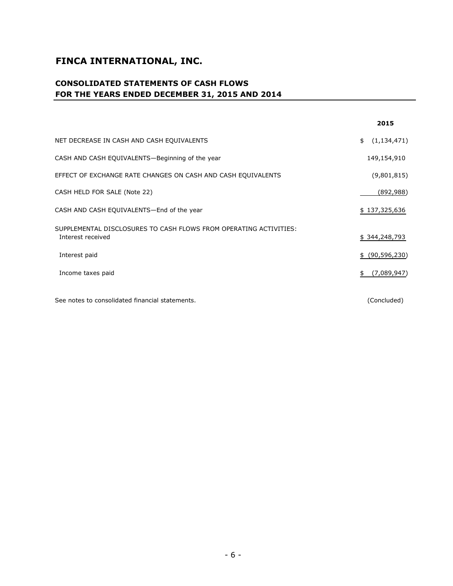## **CONSOLIDATED STATEMENTS OF CASH FLOWS FOR THE YEARS ENDED DECEMBER 31, 2015 AND 2014**

|                                                                                        | 2015                 |
|----------------------------------------------------------------------------------------|----------------------|
| NET DECREASE IN CASH AND CASH EQUIVALENTS                                              | (1, 134, 471)<br>\$  |
| CASH AND CASH EQUIVALENTS-Beginning of the year                                        | 149,154,910          |
| EFFECT OF EXCHANGE RATE CHANGES ON CASH AND CASH EQUIVALENTS                           | (9,801,815)          |
| CASH HELD FOR SALE (Note 22)                                                           | (892,988)            |
| CASH AND CASH EQUIVALENTS-End of the year                                              | \$137,325,636        |
| SUPPLEMENTAL DISCLOSURES TO CASH FLOWS FROM OPERATING ACTIVITIES:<br>Interest received | \$344,248,793        |
| Interest paid                                                                          | (90, 596, 230)<br>\$ |
| Income taxes paid                                                                      | (7,089,947)<br>\$    |
| See notes to consolidated financial statements.                                        | (Concluded)          |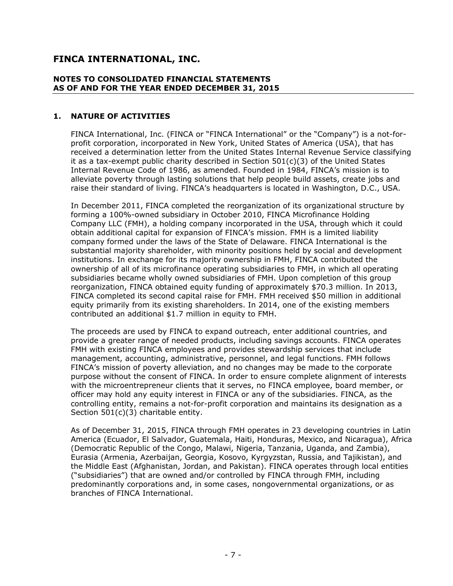#### **NOTES TO CONSOLIDATED FINANCIAL STATEMENTS AS OF AND FOR THE YEAR ENDED DECEMBER 31, 2015**

#### **1. NATURE OF ACTIVITIES**

FINCA International, Inc. (FINCA or "FINCA International" or the "Company") is a not-forprofit corporation, incorporated in New York, United States of America (USA), that has received a determination letter from the United States Internal Revenue Service classifying it as a tax-exempt public charity described in Section  $501(c)(3)$  of the United States Internal Revenue Code of 1986, as amended. Founded in 1984, FINCA's mission is to alleviate poverty through lasting solutions that help people build assets, create jobs and raise their standard of living. FINCA's headquarters is located in Washington, D.C., USA.

In December 2011, FINCA completed the reorganization of its organizational structure by forming a 100%-owned subsidiary in October 2010, FINCA Microfinance Holding Company LLC (FMH), a holding company incorporated in the USA, through which it could obtain additional capital for expansion of FINCA's mission. FMH is a limited liability company formed under the laws of the State of Delaware. FINCA International is the substantial majority shareholder, with minority positions held by social and development institutions. In exchange for its majority ownership in FMH, FINCA contributed the ownership of all of its microfinance operating subsidiaries to FMH, in which all operating subsidiaries became wholly owned subsidiaries of FMH. Upon completion of this group reorganization, FINCA obtained equity funding of approximately \$70.3 million. In 2013, FINCA completed its second capital raise for FMH. FMH received \$50 million in additional equity primarily from its existing shareholders. In 2014, one of the existing members contributed an additional \$1.7 million in equity to FMH.

The proceeds are used by FINCA to expand outreach, enter additional countries, and provide a greater range of needed products, including savings accounts. FINCA operates FMH with existing FINCA employees and provides stewardship services that include management, accounting, administrative, personnel, and legal functions. FMH follows FINCA's mission of poverty alleviation, and no changes may be made to the corporate purpose without the consent of FINCA. In order to ensure complete alignment of interests with the microentrepreneur clients that it serves, no FINCA employee, board member, or officer may hold any equity interest in FINCA or any of the subsidiaries. FINCA, as the controlling entity, remains a not-for-profit corporation and maintains its designation as a Section 501(c)(3) charitable entity.

As of December 31, 2015, FINCA through FMH operates in 23 developing countries in Latin America (Ecuador, El Salvador, Guatemala, Haiti, Honduras, Mexico, and Nicaragua), Africa (Democratic Republic of the Congo, Malawi, Nigeria, Tanzania, Uganda, and Zambia), Eurasia (Armenia, Azerbaijan, Georgia, Kosovo, Kyrgyzstan, Russia, and Tajikistan), and the Middle East (Afghanistan, Jordan, and Pakistan). FINCA operates through local entities ("subsidiaries") that are owned and/or controlled by FINCA through FMH, including predominantly corporations and, in some cases, nongovernmental organizations, or as branches of FINCA International.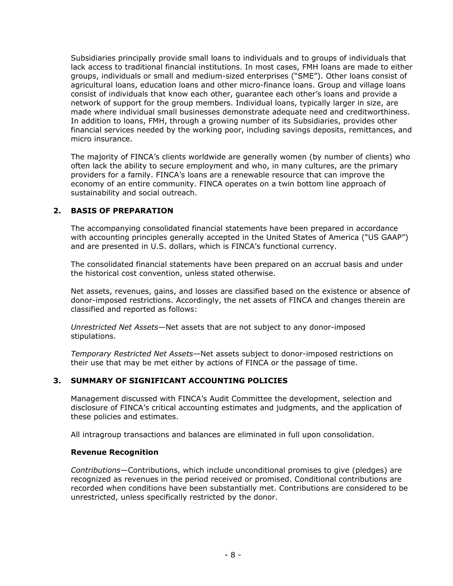Subsidiaries principally provide small loans to individuals and to groups of individuals that lack access to traditional financial institutions. In most cases, FMH loans are made to either groups, individuals or small and medium-sized enterprises ("SME"). Other loans consist of agricultural loans, education loans and other micro-finance loans. Group and village loans consist of individuals that know each other, guarantee each other's loans and provide a network of support for the group members. Individual loans, typically larger in size, are made where individual small businesses demonstrate adequate need and creditworthiness. In addition to loans, FMH, through a growing number of its Subsidiaries, provides other financial services needed by the working poor, including savings deposits, remittances, and micro insurance.

The majority of FINCA's clients worldwide are generally women (by number of clients) who often lack the ability to secure employment and who, in many cultures, are the primary providers for a family. FINCA's loans are a renewable resource that can improve the economy of an entire community. FINCA operates on a twin bottom line approach of sustainability and social outreach.

#### **2. BASIS OF PREPARATION**

The accompanying consolidated financial statements have been prepared in accordance with accounting principles generally accepted in the United States of America ("US GAAP") and are presented in U.S. dollars, which is FINCA's functional currency.

The consolidated financial statements have been prepared on an accrual basis and under the historical cost convention, unless stated otherwise.

Net assets, revenues, gains, and losses are classified based on the existence or absence of donor-imposed restrictions. Accordingly, the net assets of FINCA and changes therein are classified and reported as follows:

*Unrestricted Net Assets*—Net assets that are not subject to any donor-imposed stipulations.

*Temporary Restricted Net Assets*—Net assets subject to donor-imposed restrictions on their use that may be met either by actions of FINCA or the passage of time.

#### **3. SUMMARY OF SIGNIFICANT ACCOUNTING POLICIES**

Management discussed with FINCA's Audit Committee the development, selection and disclosure of FINCA's critical accounting estimates and judgments, and the application of these policies and estimates.

All intragroup transactions and balances are eliminated in full upon consolidation.

#### **Revenue Recognition**

*Contributions*—Contributions, which include unconditional promises to give (pledges) are recognized as revenues in the period received or promised. Conditional contributions are recorded when conditions have been substantially met. Contributions are considered to be unrestricted, unless specifically restricted by the donor.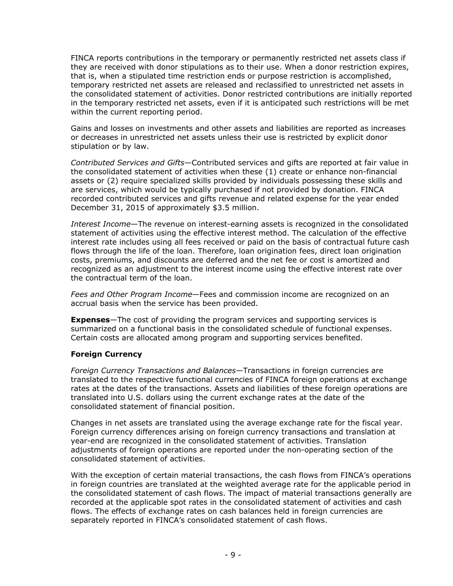FINCA reports contributions in the temporary or permanently restricted net assets class if they are received with donor stipulations as to their use. When a donor restriction expires, that is, when a stipulated time restriction ends or purpose restriction is accomplished, temporary restricted net assets are released and reclassified to unrestricted net assets in the consolidated statement of activities. Donor restricted contributions are initially reported in the temporary restricted net assets, even if it is anticipated such restrictions will be met within the current reporting period.

Gains and losses on investments and other assets and liabilities are reported as increases or decreases in unrestricted net assets unless their use is restricted by explicit donor stipulation or by law.

*Contributed Services and Gifts*—Contributed services and gifts are reported at fair value in the consolidated statement of activities when these (1) create or enhance non-financial assets or (2) require specialized skills provided by individuals possessing these skills and are services, which would be typically purchased if not provided by donation. FINCA recorded contributed services and gifts revenue and related expense for the year ended December 31, 2015 of approximately \$3.5 million.

*Interest Income*—The revenue on interest-earning assets is recognized in the consolidated statement of activities using the effective interest method. The calculation of the effective interest rate includes using all fees received or paid on the basis of contractual future cash flows through the life of the loan. Therefore, loan origination fees, direct loan origination costs, premiums, and discounts are deferred and the net fee or cost is amortized and recognized as an adjustment to the interest income using the effective interest rate over the contractual term of the loan.

*Fees and Other Program Income*—Fees and commission income are recognized on an accrual basis when the service has been provided.

**Expenses**—The cost of providing the program services and supporting services is summarized on a functional basis in the consolidated schedule of functional expenses. Certain costs are allocated among program and supporting services benefited.

#### **Foreign Currency**

*Foreign Currency Transactions and Balances*—Transactions in foreign currencies are translated to the respective functional currencies of FINCA foreign operations at exchange rates at the dates of the transactions. Assets and liabilities of these foreign operations are translated into U.S. dollars using the current exchange rates at the date of the consolidated statement of financial position.

Changes in net assets are translated using the average exchange rate for the fiscal year. Foreign currency differences arising on foreign currency transactions and translation at year-end are recognized in the consolidated statement of activities. Translation adjustments of foreign operations are reported under the non-operating section of the consolidated statement of activities.

With the exception of certain material transactions, the cash flows from FINCA's operations in foreign countries are translated at the weighted average rate for the applicable period in the consolidated statement of cash flows. The impact of material transactions generally are recorded at the applicable spot rates in the consolidated statement of activities and cash flows. The effects of exchange rates on cash balances held in foreign currencies are separately reported in FINCA's consolidated statement of cash flows.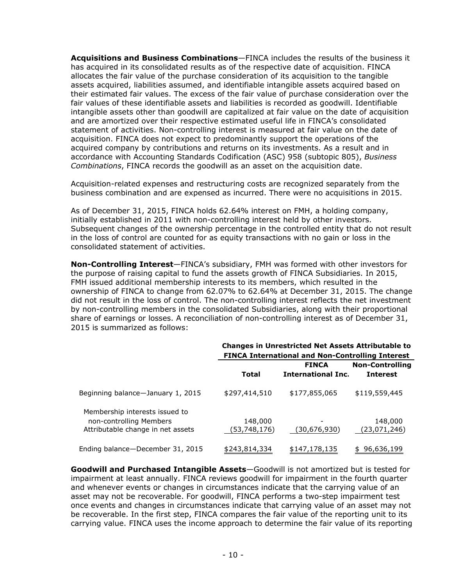**Acquisitions and Business Combinations**—FINCA includes the results of the business it has acquired in its consolidated results as of the respective date of acquisition. FINCA allocates the fair value of the purchase consideration of its acquisition to the tangible assets acquired, liabilities assumed, and identifiable intangible assets acquired based on their estimated fair values. The excess of the fair value of purchase consideration over the fair values of these identifiable assets and liabilities is recorded as goodwill. Identifiable intangible assets other than goodwill are capitalized at fair value on the date of acquisition and are amortized over their respective estimated useful life in FINCA's consolidated statement of activities. Non-controlling interest is measured at fair value on the date of acquisition. FINCA does not expect to predominantly support the operations of the acquired company by contributions and returns on its investments. As a result and in accordance with Accounting Standards Codification (ASC) 958 (subtopic 805), *Business Combinations*, FINCA records the goodwill as an asset on the acquisition date.

Acquisition-related expenses and restructuring costs are recognized separately from the business combination and are expensed as incurred. There were no acquisitions in 2015.

As of December 31, 2015, FINCA holds 62.64% interest on FMH, a holding company, initially established in 2011 with non-controlling interest held by other investors. Subsequent changes of the ownership percentage in the controlled entity that do not result in the loss of control are counted for as equity transactions with no gain or loss in the consolidated statement of activities.

**Non-Controlling Interest**—FINCA's subsidiary, FMH was formed with other investors for the purpose of raising capital to fund the assets growth of FINCA Subsidiaries. In 2015, FMH issued additional membership interests to its members, which resulted in the ownership of FINCA to change from 62.07% to 62.64% at December 31, 2015. The change did not result in the loss of control. The non-controlling interest reflects the net investment by non-controlling members in the consolidated Subsidiaries, along with their proportional share of earnings or losses. A reconciliation of non-controlling interest as of December 31, 2015 is summarized as follows:

|                                   |               | <b>Changes in Unrestricted Net Assets Attributable to</b><br><b>FINCA International and Non-Controlling Interest</b> |                        |
|-----------------------------------|---------------|----------------------------------------------------------------------------------------------------------------------|------------------------|
|                                   |               | <b>FINCA</b>                                                                                                         | <b>Non-Controlling</b> |
|                                   | <b>Total</b>  | <b>International Inc.</b>                                                                                            | <b>Interest</b>        |
| Beginning balance-January 1, 2015 | \$297,414,510 | \$177,855,065                                                                                                        | \$119,559,445          |
| Membership interests issued to    |               |                                                                                                                      |                        |
| non-controlling Members           | 148,000       |                                                                                                                      | 148,000                |
| Attributable change in net assets | (53,748,176)  | (30,676,930)                                                                                                         | (23,071,246)           |
| Ending balance-December 31, 2015  | \$243,814,334 | \$147,178,135                                                                                                        | 96,636,199             |

**Goodwill and Purchased Intangible Assets**—Goodwill is not amortized but is tested for impairment at least annually. FINCA reviews goodwill for impairment in the fourth quarter and whenever events or changes in circumstances indicate that the carrying value of an asset may not be recoverable. For goodwill, FINCA performs a two-step impairment test once events and changes in circumstances indicate that carrying value of an asset may not be recoverable. In the first step, FINCA compares the fair value of the reporting unit to its carrying value. FINCA uses the income approach to determine the fair value of its reporting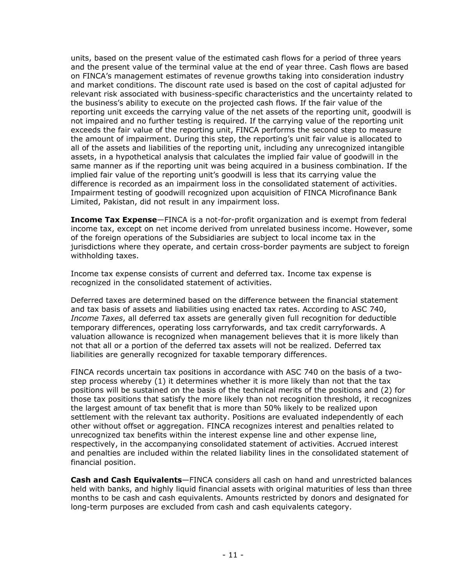units, based on the present value of the estimated cash flows for a period of three years and the present value of the terminal value at the end of year three. Cash flows are based on FINCA's management estimates of revenue growths taking into consideration industry and market conditions. The discount rate used is based on the cost of capital adjusted for relevant risk associated with business-specific characteristics and the uncertainty related to the business's ability to execute on the projected cash flows. If the fair value of the reporting unit exceeds the carrying value of the net assets of the reporting unit, goodwill is not impaired and no further testing is required. If the carrying value of the reporting unit exceeds the fair value of the reporting unit, FINCA performs the second step to measure the amount of impairment. During this step, the reporting's unit fair value is allocated to all of the assets and liabilities of the reporting unit, including any unrecognized intangible assets, in a hypothetical analysis that calculates the implied fair value of goodwill in the same manner as if the reporting unit was being acquired in a business combination. If the implied fair value of the reporting unit's goodwill is less that its carrying value the difference is recorded as an impairment loss in the consolidated statement of activities. Impairment testing of goodwill recognized upon acquisition of FINCA Microfinance Bank Limited, Pakistan, did not result in any impairment loss.

**Income Tax Expense**—FINCA is a not-for-profit organization and is exempt from federal income tax, except on net income derived from unrelated business income. However, some of the foreign operations of the Subsidiaries are subject to local income tax in the jurisdictions where they operate, and certain cross-border payments are subject to foreign withholding taxes.

Income tax expense consists of current and deferred tax. Income tax expense is recognized in the consolidated statement of activities.

Deferred taxes are determined based on the difference between the financial statement and tax basis of assets and liabilities using enacted tax rates. According to ASC 740, *Income Taxes*, all deferred tax assets are generally given full recognition for deductible temporary differences, operating loss carryforwards, and tax credit carryforwards. A valuation allowance is recognized when management believes that it is more likely than not that all or a portion of the deferred tax assets will not be realized. Deferred tax liabilities are generally recognized for taxable temporary differences.

FINCA records uncertain tax positions in accordance with ASC 740 on the basis of a twostep process whereby (1) it determines whether it is more likely than not that the tax positions will be sustained on the basis of the technical merits of the positions and (2) for those tax positions that satisfy the more likely than not recognition threshold, it recognizes the largest amount of tax benefit that is more than 50% likely to be realized upon settlement with the relevant tax authority. Positions are evaluated independently of each other without offset or aggregation. FINCA recognizes interest and penalties related to unrecognized tax benefits within the interest expense line and other expense line, respectively, in the accompanying consolidated statement of activities. Accrued interest and penalties are included within the related liability lines in the consolidated statement of financial position.

**Cash and Cash Equivalents**—FINCA considers all cash on hand and unrestricted balances held with banks, and highly liquid financial assets with original maturities of less than three months to be cash and cash equivalents. Amounts restricted by donors and designated for long-term purposes are excluded from cash and cash equivalents category.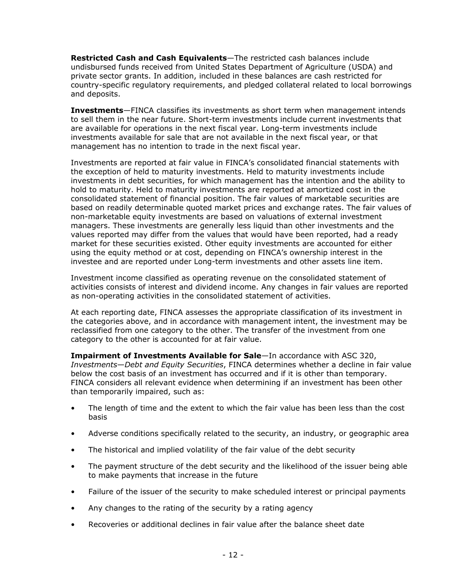**Restricted Cash and Cash Equivalents**—The restricted cash balances include undisbursed funds received from United States Department of Agriculture (USDA) and private sector grants. In addition, included in these balances are cash restricted for country-specific regulatory requirements, and pledged collateral related to local borrowings and deposits.

**Investments**—FINCA classifies its investments as short term when management intends to sell them in the near future. Short-term investments include current investments that are available for operations in the next fiscal year. Long-term investments include investments available for sale that are not available in the next fiscal year, or that management has no intention to trade in the next fiscal year.

Investments are reported at fair value in FINCA's consolidated financial statements with the exception of held to maturity investments. Held to maturity investments include investments in debt securities, for which management has the intention and the ability to hold to maturity. Held to maturity investments are reported at amortized cost in the consolidated statement of financial position. The fair values of marketable securities are based on readily determinable quoted market prices and exchange rates. The fair values of non-marketable equity investments are based on valuations of external investment managers. These investments are generally less liquid than other investments and the values reported may differ from the values that would have been reported, had a ready market for these securities existed. Other equity investments are accounted for either using the equity method or at cost, depending on FINCA's ownership interest in the investee and are reported under Long-term investments and other assets line item.

Investment income classified as operating revenue on the consolidated statement of activities consists of interest and dividend income. Any changes in fair values are reported as non-operating activities in the consolidated statement of activities.

At each reporting date, FINCA assesses the appropriate classification of its investment in the categories above, and in accordance with management intent, the investment may be reclassified from one category to the other. The transfer of the investment from one category to the other is accounted for at fair value.

**Impairment of Investments Available for Sale**—In accordance with ASC 320, *Investments*—*Debt and Equity Securities*, FINCA determines whether a decline in fair value below the cost basis of an investment has occurred and if it is other than temporary. FINCA considers all relevant evidence when determining if an investment has been other than temporarily impaired, such as:

- The length of time and the extent to which the fair value has been less than the cost basis
- Adverse conditions specifically related to the security, an industry, or geographic area
- The historical and implied volatility of the fair value of the debt security
- The payment structure of the debt security and the likelihood of the issuer being able to make payments that increase in the future
- Failure of the issuer of the security to make scheduled interest or principal payments
- Any changes to the rating of the security by a rating agency
- Recoveries or additional declines in fair value after the balance sheet date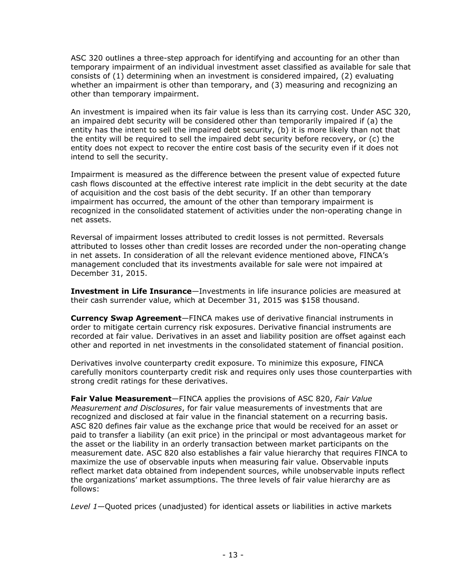ASC 320 outlines a three-step approach for identifying and accounting for an other than temporary impairment of an individual investment asset classified as available for sale that consists of (1) determining when an investment is considered impaired, (2) evaluating whether an impairment is other than temporary, and (3) measuring and recognizing an other than temporary impairment.

An investment is impaired when its fair value is less than its carrying cost. Under ASC 320, an impaired debt security will be considered other than temporarily impaired if (a) the entity has the intent to sell the impaired debt security, (b) it is more likely than not that the entity will be required to sell the impaired debt security before recovery, or (c) the entity does not expect to recover the entire cost basis of the security even if it does not intend to sell the security.

Impairment is measured as the difference between the present value of expected future cash flows discounted at the effective interest rate implicit in the debt security at the date of acquisition and the cost basis of the debt security. If an other than temporary impairment has occurred, the amount of the other than temporary impairment is recognized in the consolidated statement of activities under the non-operating change in net assets.

Reversal of impairment losses attributed to credit losses is not permitted. Reversals attributed to losses other than credit losses are recorded under the non-operating change in net assets. In consideration of all the relevant evidence mentioned above, FINCA's management concluded that its investments available for sale were not impaired at December 31, 2015.

**Investment in Life Insurance**—Investments in life insurance policies are measured at their cash surrender value, which at December 31, 2015 was \$158 thousand.

**Currency Swap Agreement**—FINCA makes use of derivative financial instruments in order to mitigate certain currency risk exposures. Derivative financial instruments are recorded at fair value. Derivatives in an asset and liability position are offset against each other and reported in net investments in the consolidated statement of financial position.

Derivatives involve counterparty credit exposure. To minimize this exposure, FINCA carefully monitors counterparty credit risk and requires only uses those counterparties with strong credit ratings for these derivatives.

**Fair Value Measurement**—FINCA applies the provisions of ASC 820, *Fair Value Measurement and Disclosures*, for fair value measurements of investments that are recognized and disclosed at fair value in the financial statement on a recurring basis. ASC 820 defines fair value as the exchange price that would be received for an asset or paid to transfer a liability (an exit price) in the principal or most advantageous market for the asset or the liability in an orderly transaction between market participants on the measurement date. ASC 820 also establishes a fair value hierarchy that requires FINCA to maximize the use of observable inputs when measuring fair value. Observable inputs reflect market data obtained from independent sources, while unobservable inputs reflect the organizations' market assumptions. The three levels of fair value hierarchy are as follows:

*Level 1*—Quoted prices (unadjusted) for identical assets or liabilities in active markets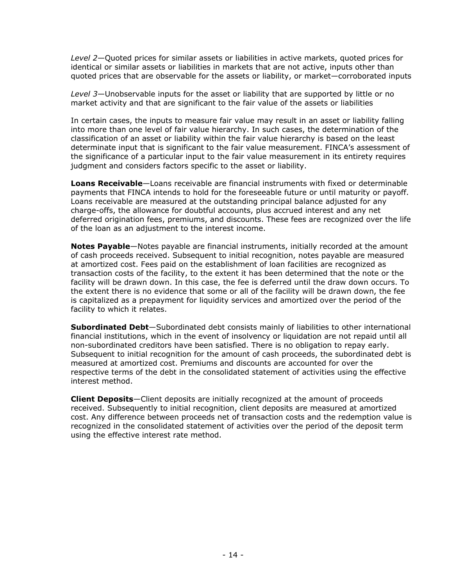*Level 2*—Quoted prices for similar assets or liabilities in active markets, quoted prices for identical or similar assets or liabilities in markets that are not active, inputs other than quoted prices that are observable for the assets or liability, or market—corroborated inputs

*Level 3*—Unobservable inputs for the asset or liability that are supported by little or no market activity and that are significant to the fair value of the assets or liabilities

In certain cases, the inputs to measure fair value may result in an asset or liability falling into more than one level of fair value hierarchy. In such cases, the determination of the classification of an asset or liability within the fair value hierarchy is based on the least determinate input that is significant to the fair value measurement. FINCA's assessment of the significance of a particular input to the fair value measurement in its entirety requires judgment and considers factors specific to the asset or liability.

**Loans Receivable**—Loans receivable are financial instruments with fixed or determinable payments that FINCA intends to hold for the foreseeable future or until maturity or payoff. Loans receivable are measured at the outstanding principal balance adjusted for any charge-offs, the allowance for doubtful accounts, plus accrued interest and any net deferred origination fees, premiums, and discounts. These fees are recognized over the life of the loan as an adjustment to the interest income.

**Notes Payable**—Notes payable are financial instruments, initially recorded at the amount of cash proceeds received. Subsequent to initial recognition, notes payable are measured at amortized cost. Fees paid on the establishment of loan facilities are recognized as transaction costs of the facility, to the extent it has been determined that the note or the facility will be drawn down. In this case, the fee is deferred until the draw down occurs. To the extent there is no evidence that some or all of the facility will be drawn down, the fee is capitalized as a prepayment for liquidity services and amortized over the period of the facility to which it relates.

**Subordinated Debt**—Subordinated debt consists mainly of liabilities to other international financial institutions, which in the event of insolvency or liquidation are not repaid until all non-subordinated creditors have been satisfied. There is no obligation to repay early. Subsequent to initial recognition for the amount of cash proceeds, the subordinated debt is measured at amortized cost. Premiums and discounts are accounted for over the respective terms of the debt in the consolidated statement of activities using the effective interest method.

**Client Deposits**—Client deposits are initially recognized at the amount of proceeds received. Subsequently to initial recognition, client deposits are measured at amortized cost. Any difference between proceeds net of transaction costs and the redemption value is recognized in the consolidated statement of activities over the period of the deposit term using the effective interest rate method.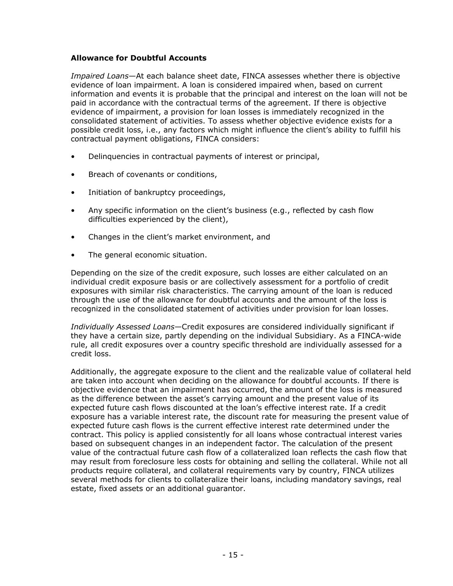#### **Allowance for Doubtful Accounts**

*Impaired Loans*—At each balance sheet date, FINCA assesses whether there is objective evidence of loan impairment. A loan is considered impaired when, based on current information and events it is probable that the principal and interest on the loan will not be paid in accordance with the contractual terms of the agreement. If there is objective evidence of impairment, a provision for loan losses is immediately recognized in the consolidated statement of activities. To assess whether objective evidence exists for a possible credit loss, i.e., any factors which might influence the client's ability to fulfill his contractual payment obligations, FINCA considers:

- Delinquencies in contractual payments of interest or principal,
- Breach of covenants or conditions,
- Initiation of bankruptcy proceedings,
- Any specific information on the client's business (e.g., reflected by cash flow difficulties experienced by the client),
- Changes in the client's market environment, and
- The general economic situation.

Depending on the size of the credit exposure, such losses are either calculated on an individual credit exposure basis or are collectively assessment for a portfolio of credit exposures with similar risk characteristics. The carrying amount of the loan is reduced through the use of the allowance for doubtful accounts and the amount of the loss is recognized in the consolidated statement of activities under provision for loan losses.

*Individually Assessed Loans*—Credit exposures are considered individually significant if they have a certain size, partly depending on the individual Subsidiary. As a FINCA-wide rule, all credit exposures over a country specific threshold are individually assessed for a credit loss.

Additionally, the aggregate exposure to the client and the realizable value of collateral held are taken into account when deciding on the allowance for doubtful accounts. If there is objective evidence that an impairment has occurred, the amount of the loss is measured as the difference between the asset's carrying amount and the present value of its expected future cash flows discounted at the loan's effective interest rate. If a credit exposure has a variable interest rate, the discount rate for measuring the present value of expected future cash flows is the current effective interest rate determined under the contract. This policy is applied consistently for all loans whose contractual interest varies based on subsequent changes in an independent factor. The calculation of the present value of the contractual future cash flow of a collateralized loan reflects the cash flow that may result from foreclosure less costs for obtaining and selling the collateral. While not all products require collateral, and collateral requirements vary by country, FINCA utilizes several methods for clients to collateralize their loans, including mandatory savings, real estate, fixed assets or an additional guarantor.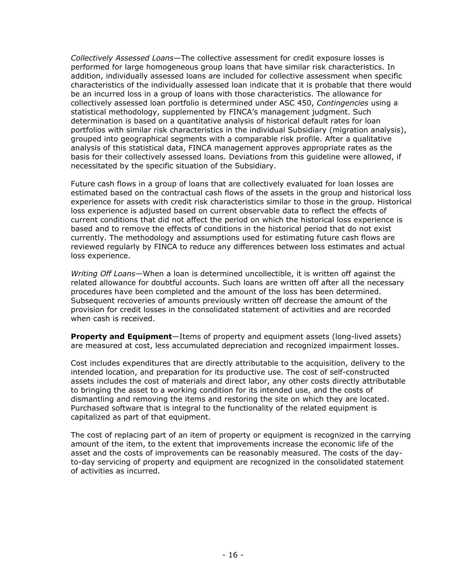*Collectively Assessed Loans*—The collective assessment for credit exposure losses is performed for large homogeneous group loans that have similar risk characteristics. In addition, individually assessed loans are included for collective assessment when specific characteristics of the individually assessed loan indicate that it is probable that there would be an incurred loss in a group of loans with those characteristics. The allowance for collectively assessed loan portfolio is determined under ASC 450, *Contingencies* using a statistical methodology, supplemented by FINCA's management judgment. Such determination is based on a quantitative analysis of historical default rates for loan portfolios with similar risk characteristics in the individual Subsidiary (migration analysis), grouped into geographical segments with a comparable risk profile. After a qualitative analysis of this statistical data, FINCA management approves appropriate rates as the basis for their collectively assessed loans. Deviations from this guideline were allowed, if necessitated by the specific situation of the Subsidiary.

Future cash flows in a group of loans that are collectively evaluated for loan losses are estimated based on the contractual cash flows of the assets in the group and historical loss experience for assets with credit risk characteristics similar to those in the group. Historical loss experience is adjusted based on current observable data to reflect the effects of current conditions that did not affect the period on which the historical loss experience is based and to remove the effects of conditions in the historical period that do not exist currently. The methodology and assumptions used for estimating future cash flows are reviewed regularly by FINCA to reduce any differences between loss estimates and actual loss experience.

*Writing Off Loans*—When a loan is determined uncollectible, it is written off against the related allowance for doubtful accounts. Such loans are written off after all the necessary procedures have been completed and the amount of the loss has been determined. Subsequent recoveries of amounts previously written off decrease the amount of the provision for credit losses in the consolidated statement of activities and are recorded when cash is received.

**Property and Equipment**—Items of property and equipment assets (long-lived assets) are measured at cost, less accumulated depreciation and recognized impairment losses.

Cost includes expenditures that are directly attributable to the acquisition, delivery to the intended location, and preparation for its productive use. The cost of self-constructed assets includes the cost of materials and direct labor, any other costs directly attributable to bringing the asset to a working condition for its intended use, and the costs of dismantling and removing the items and restoring the site on which they are located. Purchased software that is integral to the functionality of the related equipment is capitalized as part of that equipment.

The cost of replacing part of an item of property or equipment is recognized in the carrying amount of the item, to the extent that improvements increase the economic life of the asset and the costs of improvements can be reasonably measured. The costs of the dayto-day servicing of property and equipment are recognized in the consolidated statement of activities as incurred.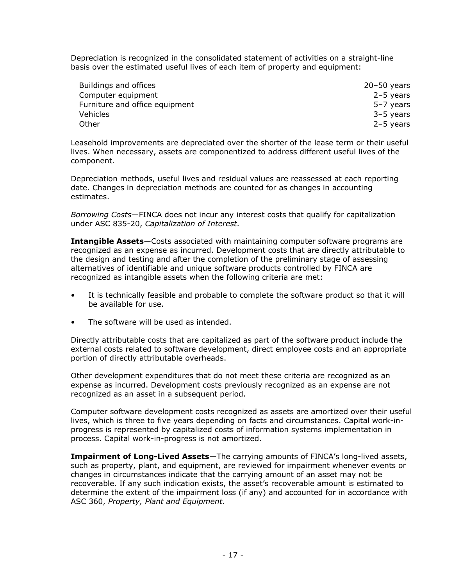Depreciation is recognized in the consolidated statement of activities on a straight-line basis over the estimated useful lives of each item of property and equipment:

| Buildings and offices          | $20 - 50$ years |
|--------------------------------|-----------------|
| Computer equipment             | $2-5$ years     |
| Furniture and office equipment | 5-7 years       |
| <b>Vehicles</b>                | 3-5 years       |
| Other                          | $2-5$ years     |

Leasehold improvements are depreciated over the shorter of the lease term or their useful lives. When necessary, assets are componentized to address different useful lives of the component.

Depreciation methods, useful lives and residual values are reassessed at each reporting date. Changes in depreciation methods are counted for as changes in accounting estimates.

*Borrowing Costs*—FINCA does not incur any interest costs that qualify for capitalization under ASC 835-20, *Capitalization of Interest*.

**Intangible Assets**—Costs associated with maintaining computer software programs are recognized as an expense as incurred. Development costs that are directly attributable to the design and testing and after the completion of the preliminary stage of assessing alternatives of identifiable and unique software products controlled by FINCA are recognized as intangible assets when the following criteria are met:

- It is technically feasible and probable to complete the software product so that it will be available for use.
- The software will be used as intended.

Directly attributable costs that are capitalized as part of the software product include the external costs related to software development, direct employee costs and an appropriate portion of directly attributable overheads.

Other development expenditures that do not meet these criteria are recognized as an expense as incurred. Development costs previously recognized as an expense are not recognized as an asset in a subsequent period.

Computer software development costs recognized as assets are amortized over their useful lives, which is three to five years depending on facts and circumstances. Capital work-inprogress is represented by capitalized costs of information systems implementation in process. Capital work-in-progress is not amortized.

**Impairment of Long-Lived Assets**—The carrying amounts of FINCA's long-lived assets, such as property, plant, and equipment, are reviewed for impairment whenever events or changes in circumstances indicate that the carrying amount of an asset may not be recoverable. If any such indication exists, the asset's recoverable amount is estimated to determine the extent of the impairment loss (if any) and accounted for in accordance with ASC 360, *Property, Plant and Equipment*.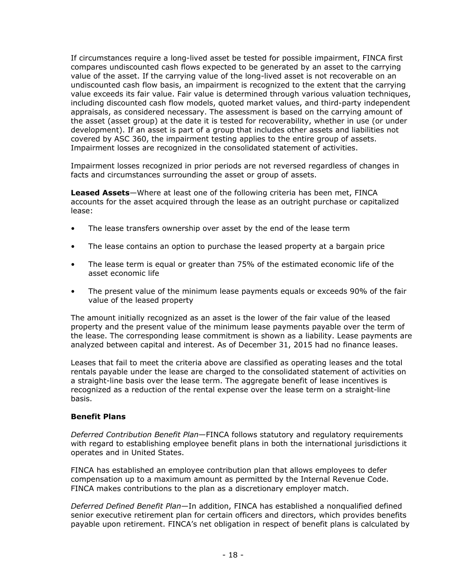If circumstances require a long-lived asset be tested for possible impairment, FINCA first compares undiscounted cash flows expected to be generated by an asset to the carrying value of the asset. If the carrying value of the long-lived asset is not recoverable on an undiscounted cash flow basis, an impairment is recognized to the extent that the carrying value exceeds its fair value. Fair value is determined through various valuation techniques, including discounted cash flow models, quoted market values, and third-party independent appraisals, as considered necessary. The assessment is based on the carrying amount of the asset (asset group) at the date it is tested for recoverability, whether in use (or under development). If an asset is part of a group that includes other assets and liabilities not covered by ASC 360, the impairment testing applies to the entire group of assets. Impairment losses are recognized in the consolidated statement of activities.

Impairment losses recognized in prior periods are not reversed regardless of changes in facts and circumstances surrounding the asset or group of assets.

**Leased Assets**—Where at least one of the following criteria has been met, FINCA accounts for the asset acquired through the lease as an outright purchase or capitalized lease:

- The lease transfers ownership over asset by the end of the lease term
- The lease contains an option to purchase the leased property at a bargain price
- The lease term is equal or greater than 75% of the estimated economic life of the asset economic life
- The present value of the minimum lease payments equals or exceeds 90% of the fair value of the leased property

The amount initially recognized as an asset is the lower of the fair value of the leased property and the present value of the minimum lease payments payable over the term of the lease. The corresponding lease commitment is shown as a liability. Lease payments are analyzed between capital and interest. As of December 31, 2015 had no finance leases.

Leases that fail to meet the criteria above are classified as operating leases and the total rentals payable under the lease are charged to the consolidated statement of activities on a straight-line basis over the lease term. The aggregate benefit of lease incentives is recognized as a reduction of the rental expense over the lease term on a straight-line basis.

#### **Benefit Plans**

*Deferred Contribution Benefit Plan*—FINCA follows statutory and regulatory requirements with regard to establishing employee benefit plans in both the international jurisdictions it operates and in United States.

FINCA has established an employee contribution plan that allows employees to defer compensation up to a maximum amount as permitted by the Internal Revenue Code. FINCA makes contributions to the plan as a discretionary employer match.

*Deferred Defined Benefit Plan*—In addition, FINCA has established a nonqualified defined senior executive retirement plan for certain officers and directors, which provides benefits payable upon retirement. FINCA's net obligation in respect of benefit plans is calculated by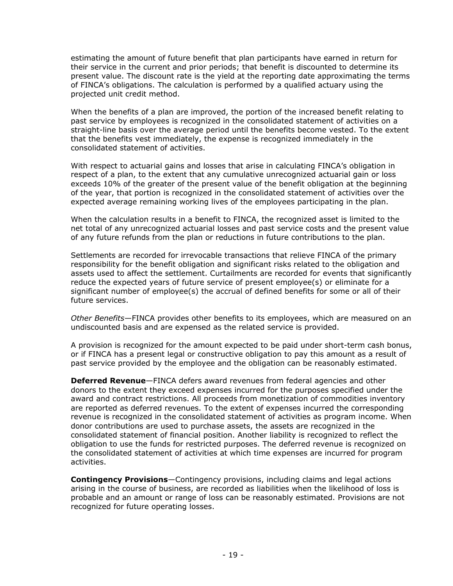estimating the amount of future benefit that plan participants have earned in return for their service in the current and prior periods; that benefit is discounted to determine its present value. The discount rate is the yield at the reporting date approximating the terms of FINCA's obligations. The calculation is performed by a qualified actuary using the projected unit credit method.

When the benefits of a plan are improved, the portion of the increased benefit relating to past service by employees is recognized in the consolidated statement of activities on a straight-line basis over the average period until the benefits become vested. To the extent that the benefits vest immediately, the expense is recognized immediately in the consolidated statement of activities.

With respect to actuarial gains and losses that arise in calculating FINCA's obligation in respect of a plan, to the extent that any cumulative unrecognized actuarial gain or loss exceeds 10% of the greater of the present value of the benefit obligation at the beginning of the year, that portion is recognized in the consolidated statement of activities over the expected average remaining working lives of the employees participating in the plan.

When the calculation results in a benefit to FINCA, the recognized asset is limited to the net total of any unrecognized actuarial losses and past service costs and the present value of any future refunds from the plan or reductions in future contributions to the plan.

Settlements are recorded for irrevocable transactions that relieve FINCA of the primary responsibility for the benefit obligation and significant risks related to the obligation and assets used to affect the settlement. Curtailments are recorded for events that significantly reduce the expected years of future service of present employee(s) or eliminate for a significant number of employee(s) the accrual of defined benefits for some or all of their future services.

*Other Benefits*—FINCA provides other benefits to its employees, which are measured on an undiscounted basis and are expensed as the related service is provided.

A provision is recognized for the amount expected to be paid under short-term cash bonus, or if FINCA has a present legal or constructive obligation to pay this amount as a result of past service provided by the employee and the obligation can be reasonably estimated.

**Deferred Revenue**—FINCA defers award revenues from federal agencies and other donors to the extent they exceed expenses incurred for the purposes specified under the award and contract restrictions. All proceeds from monetization of commodities inventory are reported as deferred revenues. To the extent of expenses incurred the corresponding revenue is recognized in the consolidated statement of activities as program income. When donor contributions are used to purchase assets, the assets are recognized in the consolidated statement of financial position. Another liability is recognized to reflect the obligation to use the funds for restricted purposes. The deferred revenue is recognized on the consolidated statement of activities at which time expenses are incurred for program activities.

**Contingency Provisions**—Contingency provisions, including claims and legal actions arising in the course of business, are recorded as liabilities when the likelihood of loss is probable and an amount or range of loss can be reasonably estimated. Provisions are not recognized for future operating losses.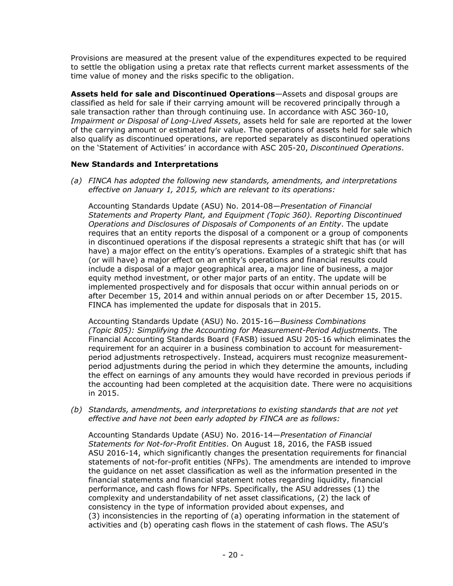Provisions are measured at the present value of the expenditures expected to be required to settle the obligation using a pretax rate that reflects current market assessments of the time value of money and the risks specific to the obligation.

**Assets held for sale and Discontinued Operations**—Assets and disposal groups are classified as held for sale if their carrying amount will be recovered principally through a sale transaction rather than through continuing use. In accordance with ASC 360-10, *Impairment or Disposal of Long-Lived Assets*, assets held for sale are reported at the lower of the carrying amount or estimated fair value. The operations of assets held for sale which also qualify as discontinued operations, are reported separately as discontinued operations on the 'Statement of Activities' in accordance with ASC 205-20, *Discontinued Operations*.

#### **New Standards and Interpretations**

*(a) FINCA has adopted the following new standards, amendments, and interpretations effective on January 1, 2015, which are relevant to its operations:* 

Accounting Standards Update (ASU) No. 2014-08—*Presentation of Financial Statements and Property Plant, and Equipment (Topic 360). Reporting Discontinued Operations and Disclosures of Disposals of Components of an Entity*. The update requires that an entity reports the disposal of a component or a group of components in discontinued operations if the disposal represents a strategic shift that has (or will have) a major effect on the entity's operations. Examples of a strategic shift that has (or will have) a major effect on an entity's operations and financial results could include a disposal of a major geographical area, a major line of business, a major equity method investment, or other major parts of an entity. The update will be implemented prospectively and for disposals that occur within annual periods on or after December 15, 2014 and within annual periods on or after December 15, 2015. FINCA has implemented the update for disposals that in 2015.

Accounting Standards Update (ASU) No. 2015-16—*Business Combinations (Topic 805): Simplifying the Accounting for Measurement-Period Adjustments*. The Financial Accounting Standards Board (FASB) issued ASU 205-16 which eliminates the requirement for an acquirer in a business combination to account for measurementperiod adjustments retrospectively. Instead, acquirers must recognize measurementperiod adjustments during the period in which they determine the amounts, including the effect on earnings of any amounts they would have recorded in previous periods if the accounting had been completed at the acquisition date. There were no acquisitions in 2015.

*(b) Standards, amendments, and interpretations to existing standards that are not yet effective and have not been early adopted by FINCA are as follows:* 

Accounting Standards Update (ASU) No. 2016-14—*Presentation of Financial Statements for Not-for-Profit Entities*. On August 18, 2016, the FASB issued ASU 2016-14, which significantly changes the presentation requirements for financial statements of not-for-profit entities (NFPs). The amendments are intended to improve the guidance on net asset classification as well as the information presented in the financial statements and financial statement notes regarding liquidity, financial performance, and cash flows for NFPs. Specifically, the ASU addresses (1) the complexity and understandability of net asset classifications, (2) the lack of consistency in the type of information provided about expenses, and (3) inconsistencies in the reporting of (a) operating information in the statement of activities and (b) operating cash flows in the statement of cash flows. The ASU's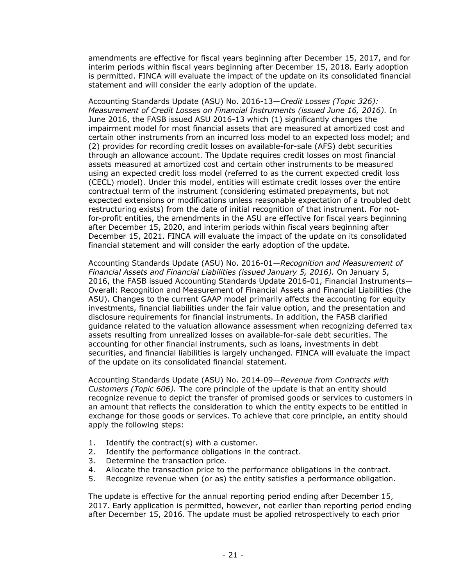amendments are effective for fiscal years beginning after December 15, 2017, and for interim periods within fiscal years beginning after December 15, 2018. Early adoption is permitted. FINCA will evaluate the impact of the update on its consolidated financial statement and will consider the early adoption of the update.

Accounting Standards Update (ASU) No. 2016-13—*Credit Losses (Topic 326): Measurement of Credit Losses on Financial Instruments (issued June 16, 2016).* In June 2016, the FASB issued ASU 2016-13 which (1) significantly changes the impairment model for most financial assets that are measured at amortized cost and certain other instruments from an incurred loss model to an expected loss model; and (2) provides for recording credit losses on available-for-sale (AFS) debt securities through an allowance account. The Update requires credit losses on most financial assets measured at amortized cost and certain other instruments to be measured using an expected credit loss model (referred to as the current expected credit loss (CECL) model). Under this model, entities will estimate credit losses over the entire contractual term of the instrument (considering estimated prepayments, but not expected extensions or modifications unless reasonable expectation of a troubled debt restructuring exists) from the date of initial recognition of that instrument. For notfor-profit entities, the amendments in the ASU are effective for fiscal years beginning after December 15, 2020, and interim periods within fiscal years beginning after December 15, 2021. FINCA will evaluate the impact of the update on its consolidated financial statement and will consider the early adoption of the update.

Accounting Standards Update (ASU) No. 2016-01—*Recognition and Measurement of Financial Assets and Financial Liabilities (issued January 5, 2016).* On January 5, 2016, the FASB issued Accounting Standards Update 2016-01, Financial Instruments— Overall: Recognition and Measurement of Financial Assets and Financial Liabilities (the ASU). Changes to the current GAAP model primarily affects the accounting for equity investments, financial liabilities under the fair value option, and the presentation and disclosure requirements for financial instruments. In addition, the FASB clarified guidance related to the valuation allowance assessment when recognizing deferred tax assets resulting from unrealized losses on available-for-sale debt securities. The accounting for other financial instruments, such as loans, investments in debt securities, and financial liabilities is largely unchanged. FINCA will evaluate the impact of the update on its consolidated financial statement.

Accounting Standards Update (ASU) No. 2014-09—*Revenue from Contracts with Customers (Topic 606).* The core principle of the update is that an entity should recognize revenue to depict the transfer of promised goods or services to customers in an amount that reflects the consideration to which the entity expects to be entitled in exchange for those goods or services. To achieve that core principle, an entity should apply the following steps:

- 1. Identify the contract(s) with a customer.
- 2. Identify the performance obligations in the contract.
- 3. Determine the transaction price.
- 4. Allocate the transaction price to the performance obligations in the contract.
- 5. Recognize revenue when (or as) the entity satisfies a performance obligation.

The update is effective for the annual reporting period ending after December 15, 2017. Early application is permitted, however, not earlier than reporting period ending after December 15, 2016. The update must be applied retrospectively to each prior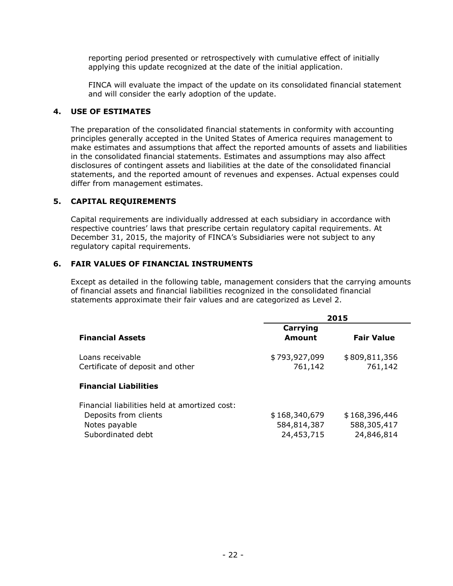reporting period presented or retrospectively with cumulative effect of initially applying this update recognized at the date of the initial application.

FINCA will evaluate the impact of the update on its consolidated financial statement and will consider the early adoption of the update.

#### **4. USE OF ESTIMATES**

The preparation of the consolidated financial statements in conformity with accounting principles generally accepted in the United States of America requires management to make estimates and assumptions that affect the reported amounts of assets and liabilities in the consolidated financial statements. Estimates and assumptions may also affect disclosures of contingent assets and liabilities at the date of the consolidated financial statements, and the reported amount of revenues and expenses. Actual expenses could differ from management estimates.

#### **5. CAPITAL REQUIREMENTS**

Capital requirements are individually addressed at each subsidiary in accordance with respective countries' laws that prescribe certain regulatory capital requirements. At December 31, 2015, the majority of FINCA's Subsidiaries were not subject to any regulatory capital requirements.

#### **6. FAIR VALUES OF FINANCIAL INSTRUMENTS**

Except as detailed in the following table, management considers that the carrying amounts of financial assets and financial liabilities recognized in the consolidated financial statements approximate their fair values and are categorized as Level 2.

|                                                      |                          | 2015                     |
|------------------------------------------------------|--------------------------|--------------------------|
| <b>Financial Assets</b>                              | Carrying<br>Amount       | <b>Fair Value</b>        |
| Loans receivable<br>Certificate of deposit and other | \$793,927,099<br>761,142 | \$809,811,356<br>761,142 |
| <b>Financial Liabilities</b>                         |                          |                          |
| Financial liabilities held at amortized cost:        |                          |                          |
| Deposits from clients                                | \$168,340,679            | \$168,396,446            |
| Notes payable                                        | 584,814,387              | 588,305,417              |
| Subordinated debt                                    | 24,453,715               | 24,846,814               |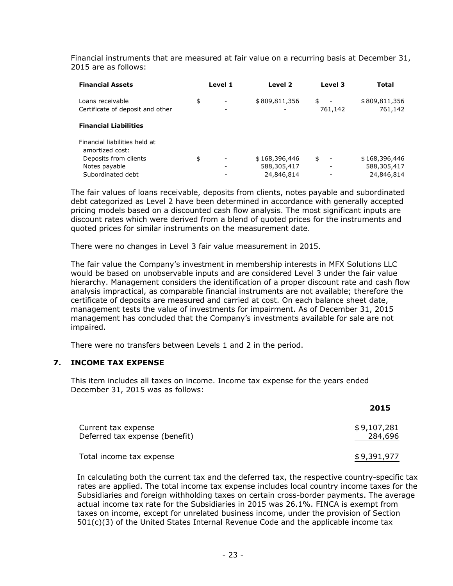Financial instruments that are measured at fair value on a recurring basis at December 31, 2015 are as follows:

| <b>Financial Assets</b>                              | Level 1 | Level 2       | Level 3                        | Total                    |
|------------------------------------------------------|---------|---------------|--------------------------------|--------------------------|
| Loans receivable<br>Certificate of deposit and other | \$      | \$809,811,356 | \$<br>$\sim$<br>761,142        | \$809,811,356<br>761,142 |
| <b>Financial Liabilities</b>                         |         |               |                                |                          |
| Financial liabilities held at<br>amortized cost:     |         |               |                                |                          |
| Deposits from clients                                | \$      | \$168,396,446 | \$<br>$\overline{\phantom{a}}$ | \$168,396,446            |
| Notes payable                                        |         | 588,305,417   | ٠                              | 588,305,417              |
| Subordinated debt                                    |         | 24,846,814    |                                | 24,846,814               |

The fair values of loans receivable, deposits from clients, notes payable and subordinated debt categorized as Level 2 have been determined in accordance with generally accepted pricing models based on a discounted cash flow analysis. The most significant inputs are discount rates which were derived from a blend of quoted prices for the instruments and quoted prices for similar instruments on the measurement date.

There were no changes in Level 3 fair value measurement in 2015.

The fair value the Company's investment in membership interests in MFX Solutions LLC would be based on unobservable inputs and are considered Level 3 under the fair value hierarchy. Management considers the identification of a proper discount rate and cash flow analysis impractical, as comparable financial instruments are not available; therefore the certificate of deposits are measured and carried at cost. On each balance sheet date, management tests the value of investments for impairment. As of December 31, 2015 management has concluded that the Company's investments available for sale are not impaired.

There were no transfers between Levels 1 and 2 in the period.

#### **7. INCOME TAX EXPENSE**

This item includes all taxes on income. Income tax expense for the years ended December 31, 2015 was as follows:

|                                                       | 2015                   |
|-------------------------------------------------------|------------------------|
| Current tax expense<br>Deferred tax expense (benefit) | \$9,107,281<br>284,696 |
| Total income tax expense                              | \$9,391,977            |

In calculating both the current tax and the deferred tax, the respective country-specific tax rates are applied. The total income tax expense includes local country income taxes for the Subsidiaries and foreign withholding taxes on certain cross-border payments. The average actual income tax rate for the Subsidiaries in 2015 was 26.1%. FINCA is exempt from taxes on income, except for unrelated business income, under the provision of Section  $501(c)(3)$  of the United States Internal Revenue Code and the applicable income tax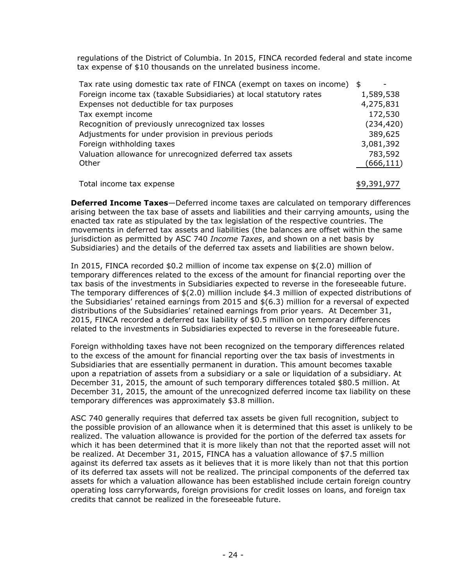regulations of the District of Columbia. In 2015, FINCA recorded federal and state income tax expense of \$10 thousands on the unrelated business income.

| 1,589,538  |
|------------|
|            |
| 4,275,831  |
| 172,530    |
| (234, 420) |
| 389,625    |
| 3,081,392  |
| 783,592    |
| (666, 111) |
|            |
|            |

Total income tax expense 9,391,977 \$9,391,977

**Deferred Income Taxes**—Deferred income taxes are calculated on temporary differences arising between the tax base of assets and liabilities and their carrying amounts, using the enacted tax rate as stipulated by the tax legislation of the respective countries. The movements in deferred tax assets and liabilities (the balances are offset within the same jurisdiction as permitted by ASC 740 *Income Taxes*, and shown on a net basis by Subsidiaries) and the details of the deferred tax assets and liabilities are shown below.

In 2015, FINCA recorded \$0.2 million of income tax expense on \$(2.0) million of temporary differences related to the excess of the amount for financial reporting over the tax basis of the investments in Subsidiaries expected to reverse in the foreseeable future. The temporary differences of \$(2.0) million include \$4.3 million of expected distributions of the Subsidiaries' retained earnings from 2015 and \$(6.3) million for a reversal of expected distributions of the Subsidiaries' retained earnings from prior years. At December 31, 2015, FINCA recorded a deferred tax liability of \$0.5 million on temporary differences related to the investments in Subsidiaries expected to reverse in the foreseeable future.

Foreign withholding taxes have not been recognized on the temporary differences related to the excess of the amount for financial reporting over the tax basis of investments in Subsidiaries that are essentially permanent in duration. This amount becomes taxable upon a repatriation of assets from a subsidiary or a sale or liquidation of a subsidiary. At December 31, 2015, the amount of such temporary differences totaled \$80.5 million. At December 31, 2015, the amount of the unrecognized deferred income tax liability on these temporary differences was approximately \$3.8 million.

ASC 740 generally requires that deferred tax assets be given full recognition, subject to the possible provision of an allowance when it is determined that this asset is unlikely to be realized. The valuation allowance is provided for the portion of the deferred tax assets for which it has been determined that it is more likely than not that the reported asset will not be realized. At December 31, 2015, FINCA has a valuation allowance of \$7.5 million against its deferred tax assets as it believes that it is more likely than not that this portion of its deferred tax assets will not be realized. The principal components of the deferred tax assets for which a valuation allowance has been established include certain foreign country operating loss carryforwards, foreign provisions for credit losses on loans, and foreign tax credits that cannot be realized in the foreseeable future.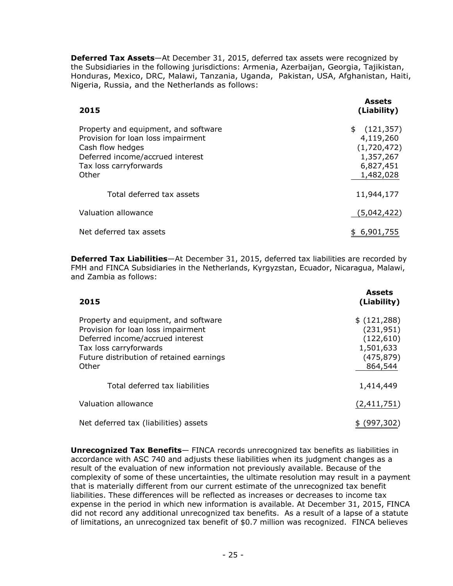**Deferred Tax Assets**—At December 31, 2015, deferred tax assets were recognized by the Subsidiaries in the following jurisdictions: Armenia, Azerbaijan, Georgia, Tajikistan, Honduras, Mexico, DRC, Malawi, Tanzania, Uganda, Pakistan, USA, Afghanistan, Haiti, Nigeria, Russia, and the Netherlands as follows:

| 2015                                                                                                                                                                  | <b>Assets</b><br>(Liability)                                                        |
|-----------------------------------------------------------------------------------------------------------------------------------------------------------------------|-------------------------------------------------------------------------------------|
| Property and equipment, and software<br>Provision for loan loss impairment<br>Cash flow hedges<br>Deferred income/accrued interest<br>Tax loss carryforwards<br>Other | (121, 357)<br>\$<br>4,119,260<br>(1,720,472)<br>1,357,267<br>6,827,451<br>1,482,028 |
| Total deferred tax assets                                                                                                                                             | 11,944,177                                                                          |
| Valuation allowance                                                                                                                                                   | (5,042,422)                                                                         |
| Net deferred tax assets                                                                                                                                               | \$ 6,901,755                                                                        |

**Deferred Tax Liabilities**—At December 31, 2015, deferred tax liabilities are recorded by FMH and FINCA Subsidiaries in the Netherlands, Kyrgyzstan, Ecuador, Nicaragua, Malawi, and Zambia as follows:

| 2015                                                                                                                                                                                          | <b>Assets</b><br>(Liability)                                                  |
|-----------------------------------------------------------------------------------------------------------------------------------------------------------------------------------------------|-------------------------------------------------------------------------------|
| Property and equipment, and software<br>Provision for loan loss impairment<br>Deferred income/accrued interest<br>Tax loss carryforwards<br>Future distribution of retained earnings<br>Other | \$(121, 288)<br>(231, 951)<br>(122, 610)<br>1,501,633<br>(475,879)<br>864,544 |
| Total deferred tax liabilities                                                                                                                                                                | 1,414,449                                                                     |
| Valuation allowance                                                                                                                                                                           | (2,411,751)                                                                   |
| Net deferred tax (liabilities) assets                                                                                                                                                         | (997,302                                                                      |

**Unrecognized Tax Benefits**— FINCA records unrecognized tax benefits as liabilities in accordance with ASC 740 and adjusts these liabilities when its judgment changes as a result of the evaluation of new information not previously available. Because of the complexity of some of these uncertainties, the ultimate resolution may result in a payment that is materially different from our current estimate of the unrecognized tax benefit liabilities. These differences will be reflected as increases or decreases to income tax expense in the period in which new information is available. At December 31, 2015, FINCA did not record any additional unrecognized tax benefits. As a result of a lapse of a statute of limitations, an unrecognized tax benefit of \$0.7 million was recognized. FINCA believes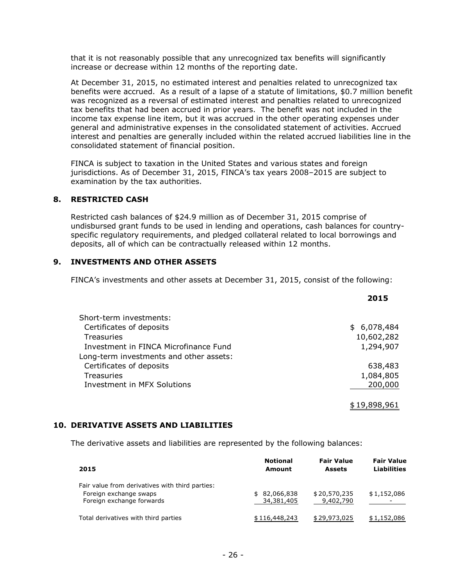that it is not reasonably possible that any unrecognized tax benefits will significantly increase or decrease within 12 months of the reporting date.

At December 31, 2015, no estimated interest and penalties related to unrecognized tax benefits were accrued. As a result of a lapse of a statute of limitations, \$0.7 million benefit was recognized as a reversal of estimated interest and penalties related to unrecognized tax benefits that had been accrued in prior years. The benefit was not included in the income tax expense line item, but it was accrued in the other operating expenses under general and administrative expenses in the consolidated statement of activities. Accrued interest and penalties are generally included within the related accrued liabilities line in the consolidated statement of financial position.

FINCA is subject to taxation in the United States and various states and foreign jurisdictions. As of December 31, 2015, FINCA's tax years 2008–2015 are subject to examination by the tax authorities.

#### **8. RESTRICTED CASH**

Restricted cash balances of \$24.9 million as of December 31, 2015 comprise of undisbursed grant funds to be used in lending and operations, cash balances for countryspecific regulatory requirements, and pledged collateral related to local borrowings and deposits, all of which can be contractually released within 12 months.

#### **9. INVESTMENTS AND OTHER ASSETS**

FINCA's investments and other assets at December 31, 2015, consist of the following:

|                                         | 2015         |
|-----------------------------------------|--------------|
| Short-term investments:                 |              |
| Certificates of deposits                | \$6,078,484  |
| Treasuries                              | 10,602,282   |
| Investment in FINCA Microfinance Fund   | 1,294,907    |
| Long-term investments and other assets: |              |
| Certificates of deposits                | 638,483      |
| Treasuries                              | 1,084,805    |
| Investment in MFX Solutions             | 200,000      |
|                                         | \$19,898,961 |

#### **10. DERIVATIVE ASSETS AND LIABILITIES**

The derivative assets and liabilities are represented by the following balances:

| 2015                                                                                                   | <b>Notional</b><br>Amount  | <b>Fair Value</b><br><b>Assets</b> | <b>Fair Value</b><br><b>Liabilities</b> |
|--------------------------------------------------------------------------------------------------------|----------------------------|------------------------------------|-----------------------------------------|
| Fair value from derivatives with third parties:<br>Foreign exchange swaps<br>Foreign exchange forwards | \$82,066,838<br>34,381,405 | \$20,570,235<br>9,402,790          | \$1,152,086                             |
| Total derivatives with third parties                                                                   | \$116,448,243              | \$29,973,025                       | \$1,152,086                             |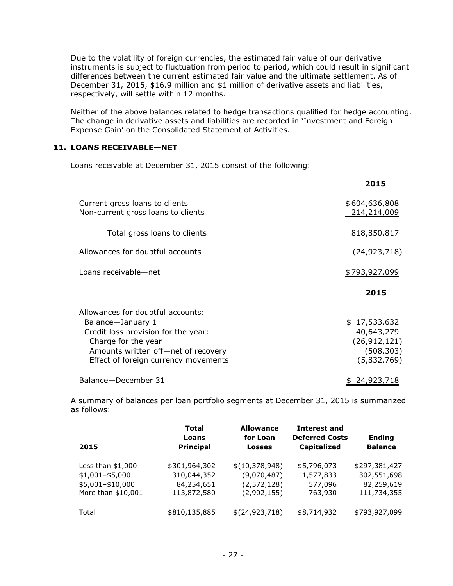Due to the volatility of foreign currencies, the estimated fair value of our derivative instruments is subject to fluctuation from period to period, which could result in significant differences between the current estimated fair value and the ultimate settlement. As of December 31, 2015, \$16.9 million and \$1 million of derivative assets and liabilities, respectively, will settle within 12 months.

Neither of the above balances related to hedge transactions qualified for hedge accounting. The change in derivative assets and liabilities are recorded in 'Investment and Foreign Expense Gain' on the Consolidated Statement of Activities.

#### **11. LOANS RECEIVABLE—NET**

Loans receivable at December 31, 2015 consist of the following:

|                                                                                                                                                                                                     | 2015                                                                      |
|-----------------------------------------------------------------------------------------------------------------------------------------------------------------------------------------------------|---------------------------------------------------------------------------|
| Current gross loans to clients<br>Non-current gross loans to clients                                                                                                                                | \$604,636,808<br>214,214,009                                              |
| Total gross loans to clients                                                                                                                                                                        | 818,850,817                                                               |
| Allowances for doubtful accounts                                                                                                                                                                    | (24,923,718)                                                              |
| Loans receivable-net                                                                                                                                                                                | \$793,927,099                                                             |
|                                                                                                                                                                                                     | 2015                                                                      |
| Allowances for doubtful accounts:<br>Balance-January 1<br>Credit loss provision for the year:<br>Charge for the year<br>Amounts written off-net of recovery<br>Effect of foreign currency movements | \$17,533,632<br>40,643,279<br>(26, 912, 121)<br>(508, 303)<br>(5,832,769) |
| Balance-December 31                                                                                                                                                                                 | \$24,923,718                                                              |

A summary of balances per loan portfolio segments at December 31, 2015 is summarized as follows:

| 2015               | Total<br>Loans<br><b>Principal</b> | <b>Allowance</b><br>for Loan<br><b>Losses</b> | <b>Interest and</b><br><b>Deferred Costs</b><br><b>Capitalized</b> | <b>Ending</b><br><b>Balance</b> |
|--------------------|------------------------------------|-----------------------------------------------|--------------------------------------------------------------------|---------------------------------|
| Less than $$1,000$ | \$301,964,302                      | \$(10,378,948)                                | \$5,796,073                                                        | \$297,381,427                   |
| $$1,001 - $5,000$  | 310,044,352                        | (9,070,487)                                   | 1,577,833                                                          | 302,551,698                     |
| \$5,001-\$10,000   | 84,254,651                         | (2,572,128)                                   | 577,096                                                            | 82,259,619                      |
| More than \$10,001 | 113,872,580                        | (2,902,155)                                   | 763,930                                                            | 111,734,355                     |
| Total              | \$810,135,885                      | \$(24, 923, 718)                              | \$8,714,932                                                        | \$793,927,099                   |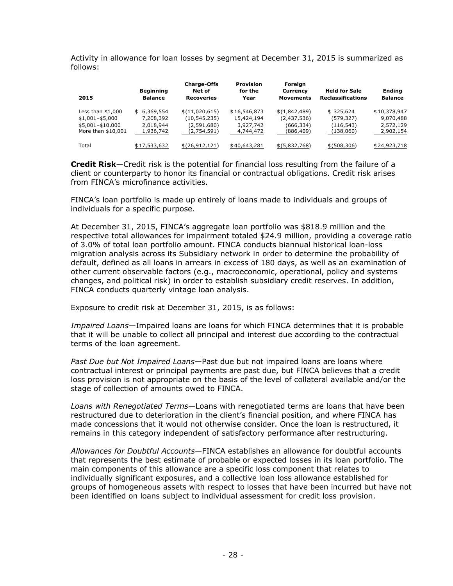Activity in allowance for loan losses by segment at December 31, 2015 is summarized as follows:

| 2015                                                                              | <b>Beginning</b><br><b>Balance</b>                 | <b>Charge-Offs</b><br>Net of<br><b>Recoveries</b>              | <b>Provision</b><br>for the<br>Year                  | Foreign<br>Currency<br><b>Movements</b>                 | <b>Held for Sale</b><br><b>Reclassifications</b>   | <b>Ending</b><br><b>Balance</b>                     |
|-----------------------------------------------------------------------------------|----------------------------------------------------|----------------------------------------------------------------|------------------------------------------------------|---------------------------------------------------------|----------------------------------------------------|-----------------------------------------------------|
| Less than $$1,000$<br>$$1,001 - $5,000$<br>\$5,001-\$10,000<br>More than \$10,001 | \$6,369,554<br>7,208,392<br>2,018,944<br>1,936,742 | \$(11,020,615)<br>(10, 545, 235)<br>(2,591,680)<br>(2.754.591) | \$16,546,873<br>15,424,194<br>3,927,742<br>4,744,472 | \$(1,842,489)<br>(2,437,536)<br>(666, 334)<br>(886,409) | \$325,624<br>(579, 327)<br>(116, 543)<br>(138,060) | \$10,378,947<br>9,070,488<br>2,572,129<br>2,902,154 |
| Total                                                                             | \$17,533,632                                       | \$(26, 912, 121)                                               | \$40,643,281                                         | \$ (5,832,768)                                          | \$ (508, 306)                                      | \$24,923,718                                        |

**Credit Risk**—Credit risk is the potential for financial loss resulting from the failure of a client or counterparty to honor its financial or contractual obligations. Credit risk arises from FINCA's microfinance activities.

FINCA's loan portfolio is made up entirely of loans made to individuals and groups of individuals for a specific purpose.

At December 31, 2015, FINCA's aggregate loan portfolio was \$818.9 million and the respective total allowances for impairment totaled \$24.9 million, providing a coverage ratio of 3.0% of total loan portfolio amount. FINCA conducts biannual historical loan-loss migration analysis across its Subsidiary network in order to determine the probability of default, defined as all loans in arrears in excess of 180 days, as well as an examination of other current observable factors (e.g., macroeconomic, operational, policy and systems changes, and political risk) in order to establish subsidiary credit reserves. In addition, FINCA conducts quarterly vintage loan analysis.

Exposure to credit risk at December 31, 2015, is as follows:

*Impaired Loans*—Impaired loans are loans for which FINCA determines that it is probable that it will be unable to collect all principal and interest due according to the contractual terms of the loan agreement.

*Past Due but Not Impaired Loans*—Past due but not impaired loans are loans where contractual interest or principal payments are past due, but FINCA believes that a credit loss provision is not appropriate on the basis of the level of collateral available and/or the stage of collection of amounts owed to FINCA.

*Loans with Renegotiated Terms*—Loans with renegotiated terms are loans that have been restructured due to deterioration in the client's financial position, and where FINCA has made concessions that it would not otherwise consider. Once the loan is restructured, it remains in this category independent of satisfactory performance after restructuring.

*Allowances for Doubtful Accounts*—FINCA establishes an allowance for doubtful accounts that represents the best estimate of probable or expected losses in its loan portfolio. The main components of this allowance are a specific loss component that relates to individually significant exposures, and a collective loan loss allowance established for groups of homogeneous assets with respect to losses that have been incurred but have not been identified on loans subject to individual assessment for credit loss provision.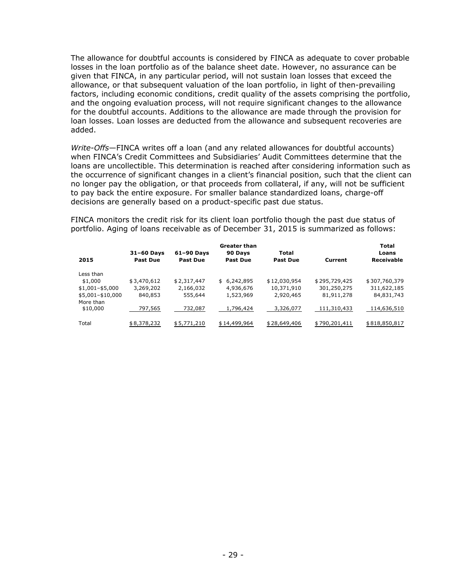The allowance for doubtful accounts is considered by FINCA as adequate to cover probable losses in the loan portfolio as of the balance sheet date. However, no assurance can be given that FINCA, in any particular period, will not sustain loan losses that exceed the allowance, or that subsequent valuation of the loan portfolio, in light of then-prevailing factors, including economic conditions, credit quality of the assets comprising the portfolio, and the ongoing evaluation process, will not require significant changes to the allowance for the doubtful accounts. Additions to the allowance are made through the provision for loan losses. Loan losses are deducted from the allowance and subsequent recoveries are added.

*Write-Offs*—FINCA writes off a loan (and any related allowances for doubtful accounts) when FINCA's Credit Committees and Subsidiaries' Audit Committees determine that the loans are uncollectible. This determination is reached after considering information such as the occurrence of significant changes in a client's financial position, such that the client can no longer pay the obligation, or that proceeds from collateral, if any, will not be sufficient to pay back the entire exposure. For smaller balance standardized loans, charge-off decisions are generally based on a product-specific past due status.

FINCA monitors the credit risk for its client loan portfolio though the past due status of portfolio. Aging of loans receivable as of December 31, 2015 is summarized as follows:

| 2015                  | $31-60$ Days<br><b>Past Due</b> | $61-90$ Days<br><b>Past Due</b> | <b>Greater than</b><br>90 Days<br><b>Past Due</b> | Total<br><b>Past Due</b> | Current       | <b>Total</b><br>Loans<br><b>Receivable</b> |
|-----------------------|---------------------------------|---------------------------------|---------------------------------------------------|--------------------------|---------------|--------------------------------------------|
| Less than             |                                 |                                 |                                                   |                          |               |                                            |
| \$1,000               | \$3,470,612                     | \$2,317,447                     | \$6,242,895                                       | \$12,030,954             | \$295,729,425 | \$307,760,379                              |
| $$1,001 - $5,000$     | 3,269,202                       | 2,166,032                       | 4,936,676                                         | 10,371,910               | 301,250,275   | 311,622,185                                |
| \$5,001-\$10,000      | 840,853                         | 555,644                         | 1,523,969                                         | 2,920,465                | 81,911,278    | 84,831,743                                 |
| More than<br>\$10,000 | 797,565                         | 732,087                         | 1,796,424                                         | 3,326,077                | 111,310,433   | 114,636,510                                |
| Total                 | \$8,378,232                     | \$5,771,210                     | \$14,499,964                                      | \$28,649,406             | \$790,201,411 | \$818,850,817                              |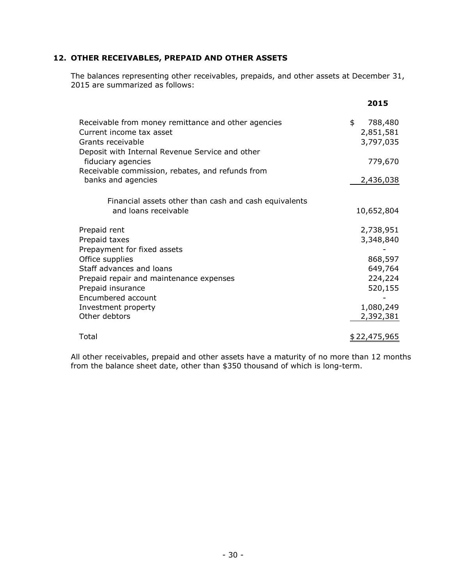#### **12. OTHER RECEIVABLES, PREPAID AND OTHER ASSETS**

The balances representing other receivables, prepaids, and other assets at December 31, 2015 are summarized as follows:

|                                                                                                                                                         | 2015                                    |
|---------------------------------------------------------------------------------------------------------------------------------------------------------|-----------------------------------------|
| Receivable from money remittance and other agencies<br>Current income tax asset<br>Grants receivable<br>Deposit with Internal Revenue Service and other | \$<br>788,480<br>2,851,581<br>3,797,035 |
| fiduciary agencies<br>Receivable commission, rebates, and refunds from                                                                                  | 779,670                                 |
| banks and agencies                                                                                                                                      | 2,436,038                               |
| Financial assets other than cash and cash equivalents<br>and loans receivable                                                                           | 10,652,804                              |
| Prepaid rent<br>Prepaid taxes                                                                                                                           | 2,738,951<br>3,348,840                  |
| Prepayment for fixed assets                                                                                                                             |                                         |
| Office supplies                                                                                                                                         | 868,597                                 |
| Staff advances and loans                                                                                                                                | 649,764                                 |
| Prepaid repair and maintenance expenses<br>Prepaid insurance                                                                                            | 224,224<br>520,155                      |
| Encumbered account                                                                                                                                      |                                         |
| Investment property                                                                                                                                     | 1,080,249                               |
| Other debtors                                                                                                                                           | 2,392,381                               |
| Total                                                                                                                                                   | <u>\$22,475,965</u>                     |

All other receivables, prepaid and other assets have a maturity of no more than 12 months from the balance sheet date, other than \$350 thousand of which is long-term.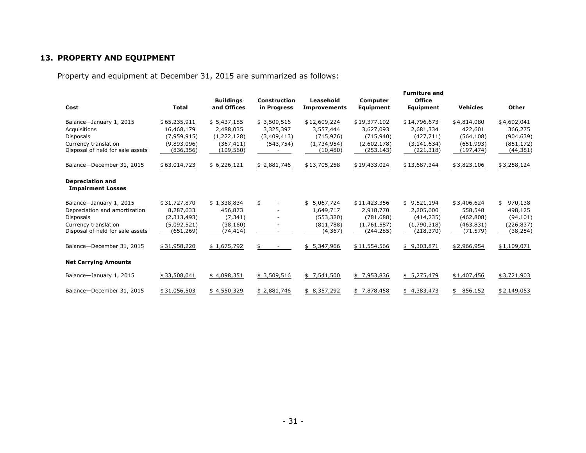#### **13. PROPERTY AND EQUIPMENT**

Property and equipment at December 31, 2015 are summarized as follows:

| Cost                                                                                                                                                                  | <b>Total</b>                                                                         | <b>Buildings</b><br>and Offices                                             | <b>Construction</b><br>in Progress                    | Leasehold<br><b>Improvements</b>                                               | Computer<br>Equipment                                                               | <b>Furniture and</b><br><b>Office</b><br>Equipment                                 | <b>Vehicles</b>                                                               | Other                                                                           |
|-----------------------------------------------------------------------------------------------------------------------------------------------------------------------|--------------------------------------------------------------------------------------|-----------------------------------------------------------------------------|-------------------------------------------------------|--------------------------------------------------------------------------------|-------------------------------------------------------------------------------------|------------------------------------------------------------------------------------|-------------------------------------------------------------------------------|---------------------------------------------------------------------------------|
| Balance-January 1, 2015<br>Acquisitions<br>Disposals<br>Currency translation<br>Disposal of held for sale assets                                                      | \$65,235,911<br>16,468,179<br>(7,959,915)<br>(9,893,096)<br>(836, 356)               | \$5,437,185<br>2,488,035<br>(1,222,128)<br>(367, 411)<br>(109, 560)         | \$3,509,516<br>3,325,397<br>(3,409,413)<br>(543, 754) | \$12,609,224<br>3,557,444<br>(715, 976)<br>(1,734,954)<br>(10, 480)            | \$19,377,192<br>3,627,093<br>(715, 940)<br>(2,602,178)<br>(253,143)                 | \$14,796,673<br>2,681,334<br>(427, 711)<br>(3, 141, 634)<br>(221, 318)             | \$4,814,080<br>422,601<br>(564, 108)<br>(651, 993)<br>(197, 474)              | \$4,692,041<br>366,275<br>(904, 639)<br>(851, 172)<br>(44, 381)                 |
| Balance-December 31, 2015                                                                                                                                             | \$63,014,723                                                                         | \$6,226,121                                                                 | \$2,881,746                                           | \$13,705,258                                                                   | \$19,433,024                                                                        | \$13,687,344                                                                       | \$3,823,106                                                                   | \$3,258,124                                                                     |
| <b>Depreciation and</b><br><b>Impairment Losses</b>                                                                                                                   |                                                                                      |                                                                             |                                                       |                                                                                |                                                                                     |                                                                                    |                                                                               |                                                                                 |
| Balance-January 1, 2015<br>Depreciation and amortization<br><b>Disposals</b><br>Currency translation<br>Disposal of held for sale assets<br>Balance-December 31, 2015 | \$31,727,870<br>8,287,633<br>(2,313,493)<br>(5,092,521)<br>(651,269)<br>\$31,958,220 | \$1,338,834<br>456,873<br>(7, 341)<br>(38, 160)<br>(74, 414)<br>\$1,675,792 | \$                                                    | \$5,067,724<br>1,649,717<br>(553, 320)<br>(811,788)<br>(4, 367)<br>\$5,347,966 | \$11,423,356<br>2,918,770<br>(781, 688)<br>(1,761,587)<br>(244,285)<br>\$11,554,566 | \$9,521,194<br>2,205,600<br>(414, 235)<br>(1,790,318)<br>(218, 370)<br>\$9,303,871 | \$3,406,624<br>558,548<br>(462,808)<br>(463, 831)<br>(71, 579)<br>\$2,966,954 | \$<br>970,138<br>498,125<br>(94, 101)<br>(226, 837)<br>(38, 254)<br>\$1,109,071 |
| <b>Net Carrying Amounts</b>                                                                                                                                           |                                                                                      |                                                                             |                                                       |                                                                                |                                                                                     |                                                                                    |                                                                               |                                                                                 |
|                                                                                                                                                                       |                                                                                      |                                                                             |                                                       |                                                                                |                                                                                     |                                                                                    |                                                                               |                                                                                 |
| Balance-January 1, 2015                                                                                                                                               | \$33,508,041                                                                         | \$4,098,351                                                                 | \$3,509,516                                           | \$7,541,500                                                                    | \$7,953,836                                                                         | \$5,275,479                                                                        | \$1,407,456                                                                   | \$3,721,903                                                                     |
| Balance-December 31, 2015                                                                                                                                             | \$31,056,503                                                                         | \$4,550,329                                                                 | \$2,881,746                                           | \$8,357,292                                                                    | \$7,878,458                                                                         | \$4,383,473                                                                        | 856,152<br>\$                                                                 | \$2,149,053                                                                     |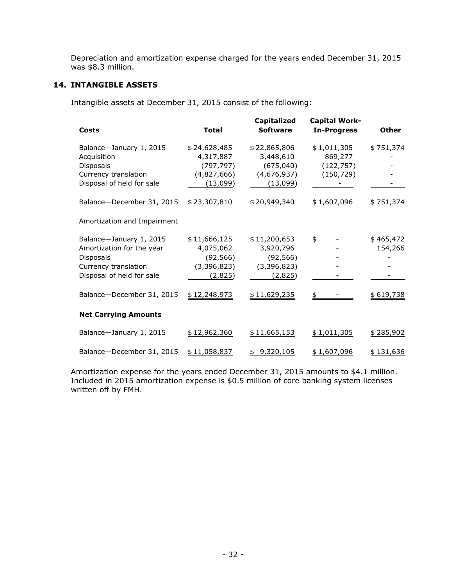Depreciation and amortization expense charged for the years ended December 31, 2015 was \$8.3 million.

#### **14. INTANGIBLE ASSETS**

Intangible assets at December 31, 2015 consist of the following:

| <b>Costs</b>                                                                                                                  | <b>Total</b>                                                       | <b>Capitalized</b><br><b>Software</b>                              | Capital Work-<br><b>In-Progress</b>                | <b>Other</b>         |
|-------------------------------------------------------------------------------------------------------------------------------|--------------------------------------------------------------------|--------------------------------------------------------------------|----------------------------------------------------|----------------------|
| Balance-January 1, 2015<br>Acquisition<br><b>Disposals</b><br>Currency translation<br>Disposal of held for sale               | \$24,628,485<br>4,317,887<br>(797, 797)<br>(4,827,666)<br>(13,099) | \$22,865,806<br>3,448,610<br>(675,040)<br>(4,676,937)<br>(13,099)  | \$1,011,305<br>869,277<br>(122, 757)<br>(150, 729) | \$751,374            |
| Balance-December 31, 2015                                                                                                     | \$23,307,810                                                       | \$20,949,340                                                       | \$1,607,096                                        | \$751,374            |
| Amortization and Impairment                                                                                                   |                                                                    |                                                                    |                                                    |                      |
| Balance-January 1, 2015<br>Amortization for the year<br><b>Disposals</b><br>Currency translation<br>Disposal of held for sale | \$11,666,125<br>4,075,062<br>(92, 566)<br>(3,396,823)<br>(2,825)   | \$11,200,653<br>3,920,796<br>(92, 566)<br>(3, 396, 823)<br>(2,825) | \$                                                 | \$465,472<br>154,266 |
| Balance-December 31, 2015                                                                                                     | \$12,248,973                                                       | \$11,629,235                                                       | \$                                                 | \$619,738            |
| <b>Net Carrying Amounts</b>                                                                                                   |                                                                    |                                                                    |                                                    |                      |
| Balance-January 1, 2015                                                                                                       | \$12,962,360                                                       | \$11,665,153                                                       | \$1,011,305                                        | \$285,902            |
| Balance-December 31, 2015                                                                                                     | \$11,058,837                                                       | \$9,320,105                                                        | \$1,607,096                                        | \$131,636            |

Amortization expense for the years ended December 31, 2015 amounts to \$4.1 million. Included in 2015 amortization expense is \$0.5 million of core banking system licenses written off by FMH.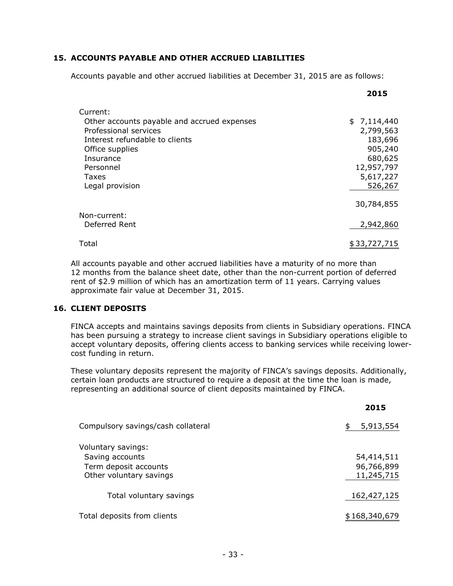#### **15. ACCOUNTS PAYABLE AND OTHER ACCRUED LIABILITIES**

Accounts payable and other accrued liabilities at December 31, 2015 are as follows:

|                                             | 2015         |
|---------------------------------------------|--------------|
| Current:                                    |              |
| Other accounts payable and accrued expenses | \$7,114,440  |
| Professional services                       | 2,799,563    |
| Interest refundable to clients              | 183,696      |
| Office supplies                             | 905,240      |
| Insurance                                   | 680,625      |
| Personnel                                   | 12,957,797   |
| Taxes                                       | 5,617,227    |
| Legal provision                             | 526,267      |
|                                             |              |
|                                             | 30,784,855   |
| Non-current:                                |              |
| Deferred Rent                               | 2,942,860    |
| Total                                       | \$33,727,715 |

All accounts payable and other accrued liabilities have a maturity of no more than 12 months from the balance sheet date, other than the non-current portion of deferred rent of \$2.9 million of which has an amortization term of 11 years. Carrying values approximate fair value at December 31, 2015.

#### **16. CLIENT DEPOSITS**

FINCA accepts and maintains savings deposits from clients in Subsidiary operations. FINCA has been pursuing a strategy to increase client savings in Subsidiary operations eligible to accept voluntary deposits, offering clients access to banking services while receiving lowercost funding in return.

These voluntary deposits represent the majority of FINCA's savings deposits. Additionally, certain loan products are structured to require a deposit at the time the loan is made, representing an additional source of client deposits maintained by FINCA.

**2015**

| Compulsory savings/cash collateral                                                        | \$<br>5,913,554                        |
|-------------------------------------------------------------------------------------------|----------------------------------------|
| Voluntary savings:<br>Saving accounts<br>Term deposit accounts<br>Other voluntary savings | 54,414,511<br>96,766,899<br>11,245,715 |
| Total voluntary savings                                                                   | 162,427,125                            |
| Total deposits from clients                                                               | \$168,340,679                          |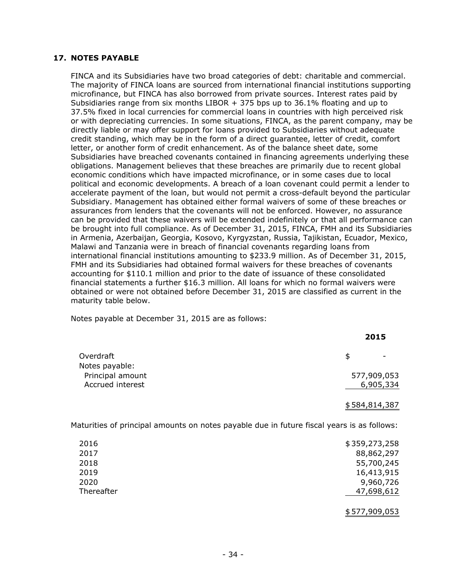#### **17. NOTES PAYABLE**

FINCA and its Subsidiaries have two broad categories of debt: charitable and commercial. The majority of FINCA loans are sourced from international financial institutions supporting microfinance, but FINCA has also borrowed from private sources. Interest rates paid by Subsidiaries range from six months LIBOR  $+$  375 bps up to 36.1% floating and up to 37.5% fixed in local currencies for commercial loans in countries with high perceived risk or with depreciating currencies. In some situations, FINCA, as the parent company, may be directly liable or may offer support for loans provided to Subsidiaries without adequate credit standing, which may be in the form of a direct guarantee, letter of credit, comfort letter, or another form of credit enhancement. As of the balance sheet date, some Subsidiaries have breached covenants contained in financing agreements underlying these obligations. Management believes that these breaches are primarily due to recent global economic conditions which have impacted microfinance, or in some cases due to local political and economic developments. A breach of a loan covenant could permit a lender to accelerate payment of the loan, but would not permit a cross-default beyond the particular Subsidiary. Management has obtained either formal waivers of some of these breaches or assurances from lenders that the covenants will not be enforced. However, no assurance can be provided that these waivers will be extended indefinitely or that all performance can be brought into full compliance. As of December 31, 2015, FINCA, FMH and its Subsidiaries in Armenia, Azerbaijan, Georgia, Kosovo, Kyrgyzstan, Russia, Tajikistan, Ecuador, Mexico, Malawi and Tanzania were in breach of financial covenants regarding loans from international financial institutions amounting to \$233.9 million. As of December 31, 2015, FMH and its Subsidiaries had obtained formal waivers for these breaches of covenants accounting for \$110.1 million and prior to the date of issuance of these consolidated financial statements a further \$16.3 million. All loans for which no formal waivers were obtained or were not obtained before December 31, 2015 are classified as current in the maturity table below.

Notes payable at December 31, 2015 are as follows:

|                  | ----          |
|------------------|---------------|
| Overdraft        | \$            |
| Notes payable:   |               |
| Principal amount | 577,909,053   |
| Accrued interest | 6,905,334     |
|                  | \$584,814,387 |

**2015**

Maturities of principal amounts on notes payable due in future fiscal years is as follows:

| 2016       | \$359,273,258 |
|------------|---------------|
| 2017       | 88,862,297    |
| 2018       | 55,700,245    |
| 2019       | 16,413,915    |
| 2020       | 9,960,726     |
| Thereafter | 47,698,612    |
|            |               |
|            | \$577,909,053 |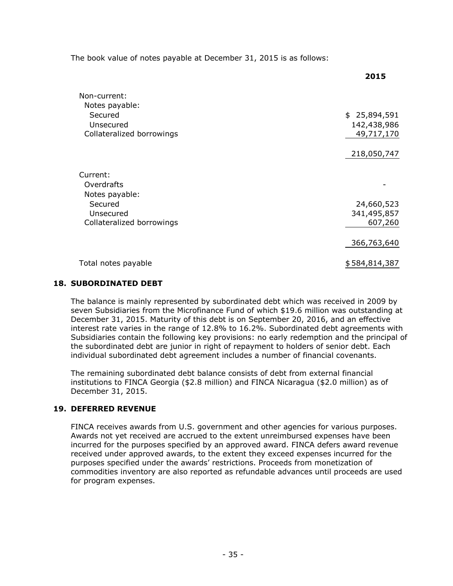The book value of notes payable at December 31, 2015 is as follows:

|                                | ᆂᇦᆂᇦ          |
|--------------------------------|---------------|
| Non-current:<br>Notes payable: |               |
| Secured                        | \$25,894,591  |
| Unsecured                      | 142,438,986   |
| Collateralized borrowings      | 49,717,170    |
|                                | 218,050,747   |
| Current:                       |               |
| Overdrafts                     |               |
| Notes payable:                 |               |
| Secured                        | 24,660,523    |
| Unsecured                      | 341,495,857   |
| Collateralized borrowings      | 607,260       |
|                                | 366,763,640   |
| Total notes payable            | \$584,814,387 |

**2015**

#### **18. SUBORDINATED DEBT**

The balance is mainly represented by subordinated debt which was received in 2009 by seven Subsidiaries from the Microfinance Fund of which \$19.6 million was outstanding at December 31, 2015. Maturity of this debt is on September 20, 2016, and an effective interest rate varies in the range of 12.8% to 16.2%. Subordinated debt agreements with Subsidiaries contain the following key provisions: no early redemption and the principal of the subordinated debt are junior in right of repayment to holders of senior debt. Each individual subordinated debt agreement includes a number of financial covenants.

The remaining subordinated debt balance consists of debt from external financial institutions to FINCA Georgia (\$2.8 million) and FINCA Nicaragua (\$2.0 million) as of December 31, 2015.

#### **19. DEFERRED REVENUE**

FINCA receives awards from U.S. government and other agencies for various purposes. Awards not yet received are accrued to the extent unreimbursed expenses have been incurred for the purposes specified by an approved award. FINCA defers award revenue received under approved awards, to the extent they exceed expenses incurred for the purposes specified under the awards' restrictions. Proceeds from monetization of commodities inventory are also reported as refundable advances until proceeds are used for program expenses.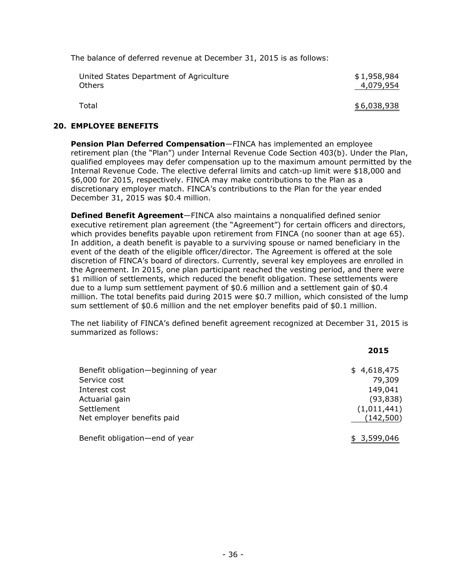The balance of deferred revenue at December 31, 2015 is as follows:

| United States Department of Agriculture | \$1,958,984 |
|-----------------------------------------|-------------|
| <b>Others</b>                           | 4,079,954   |
| Total                                   | \$6,038,938 |

#### **20. EMPLOYEE BENEFITS**

**Pension Plan Deferred Compensation**—FINCA has implemented an employee retirement plan (the "Plan") under Internal Revenue Code Section 403(b). Under the Plan, qualified employees may defer compensation up to the maximum amount permitted by the Internal Revenue Code. The elective deferral limits and catch-up limit were \$18,000 and \$6,000 for 2015, respectively. FINCA may make contributions to the Plan as a discretionary employer match. FINCA's contributions to the Plan for the year ended December 31, 2015 was \$0.4 million.

**Defined Benefit Agreement**—FINCA also maintains a nonqualified defined senior executive retirement plan agreement (the "Agreement") for certain officers and directors, which provides benefits payable upon retirement from FINCA (no sooner than at age 65). In addition, a death benefit is payable to a surviving spouse or named beneficiary in the event of the death of the eligible officer/director. The Agreement is offered at the sole discretion of FINCA's board of directors. Currently, several key employees are enrolled in the Agreement. In 2015, one plan participant reached the vesting period, and there were \$1 million of settlements, which reduced the benefit obligation. These settlements were due to a lump sum settlement payment of \$0.6 million and a settlement gain of \$0.4 million. The total benefits paid during 2015 were \$0.7 million, which consisted of the lump sum settlement of \$0.6 million and the net employer benefits paid of \$0.1 million.

The net liability of FINCA's defined benefit agreement recognized at December 31, 2015 is summarized as follows:

|                                      | 2015        |
|--------------------------------------|-------------|
| Benefit obligation-beginning of year | \$4,618,475 |
| Service cost                         | 79,309      |
| Interest cost                        | 149,041     |
| Actuarial gain                       | (93, 838)   |
| Settlement                           | (1,011,441) |
| Net employer benefits paid           | (142, 500)  |
| Benefit obligation-end of year       | \$3,599,046 |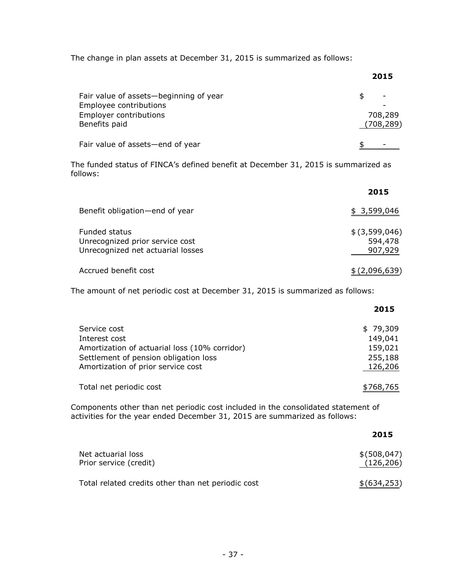The change in plan assets at December 31, 2015 is summarized as follows:

|                                                                                                             | 2015                  |
|-------------------------------------------------------------------------------------------------------------|-----------------------|
| Fair value of assets-beginning of year<br>Employee contributions<br>Employer contributions<br>Benefits paid | 708,289<br>(708, 289) |
| Fair value of assets-end of year                                                                            |                       |

The funded status of FINCA's defined benefit at December 31, 2015 is summarized as follows:

|                                                                                              | 2015                                    |
|----------------------------------------------------------------------------------------------|-----------------------------------------|
| Benefit obligation-end of year                                                               | \$3,599,046                             |
| <b>Funded status</b><br>Unrecognized prior service cost<br>Unrecognized net actuarial losses | $$$ $(3,599,046)$<br>594,478<br>907,929 |
| Accrued benefit cost                                                                         | \$(2,096,639)                           |

The amount of net periodic cost at December 31, 2015 is summarized as follows:

|                                                                                                                                                               | 2015                                                 |
|---------------------------------------------------------------------------------------------------------------------------------------------------------------|------------------------------------------------------|
| Service cost<br>Interest cost<br>Amortization of actuarial loss (10% corridor)<br>Settlement of pension obligation loss<br>Amortization of prior service cost | \$79,309<br>149,041<br>159,021<br>255,188<br>126,206 |
| Total net periodic cost                                                                                                                                       | \$768,765                                            |

Components other than net periodic cost included in the consolidated statement of activities for the year ended December 31, 2015 are summarized as follows:

|                                                    | 2015                        |
|----------------------------------------------------|-----------------------------|
| Net actuarial loss<br>Prior service (credit)       | \$ (508, 047)<br>(126, 206) |
| Total related credits other than net periodic cost | \$ (634, 253)               |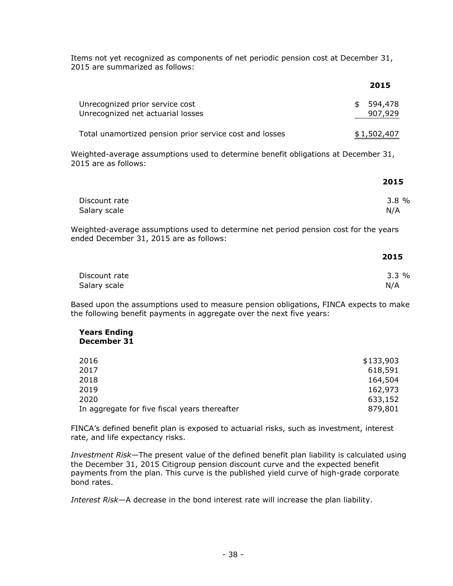Items not yet recognized as components of net periodic pension cost at December 31, 2015 are summarized as follows:

|                                                                                                                                 | 2015                     |
|---------------------------------------------------------------------------------------------------------------------------------|--------------------------|
| Unrecognized prior service cost<br>Unrecognized net actuarial losses                                                            | \$<br>594,478<br>907,929 |
| Total unamortized pension prior service cost and losses                                                                         | \$1,502,407              |
| Weighted-average assumptions used to determine benefit obligations at December 31,<br>2015 are as follows:                      |                          |
|                                                                                                                                 | 2015                     |
| Discount rate<br>Salary scale                                                                                                   | 3.8%<br>N/A              |
| Weighted-average assumptions used to determine net period pension cost for the years<br>ended December 31, 2015 are as follows: |                          |
|                                                                                                                                 | 2015                     |

| Discount rate | 3.3% |
|---------------|------|
| Salary scale  | N/A  |

Based upon the assumptions used to measure pension obligations, FINCA expects to make the following benefit payments in aggregate over the next five years:

#### **Years Ending December 31**

| 2016                                          | \$133,903 |
|-----------------------------------------------|-----------|
| 2017                                          | 618,591   |
| 2018                                          | 164,504   |
| 2019                                          | 162,973   |
| 2020                                          | 633,152   |
| In aggregate for five fiscal years thereafter | 879,801   |
|                                               |           |

FINCA's defined benefit plan is exposed to actuarial risks, such as investment, interest rate, and life expectancy risks.

*Investment Risk*—The present value of the defined benefit plan liability is calculated using the December 31, 2015 Citigroup pension discount curve and the expected benefit payments from the plan. This curve is the published yield curve of high-grade corporate bond rates.

*Interest Risk*—A decrease in the bond interest rate will increase the plan liability.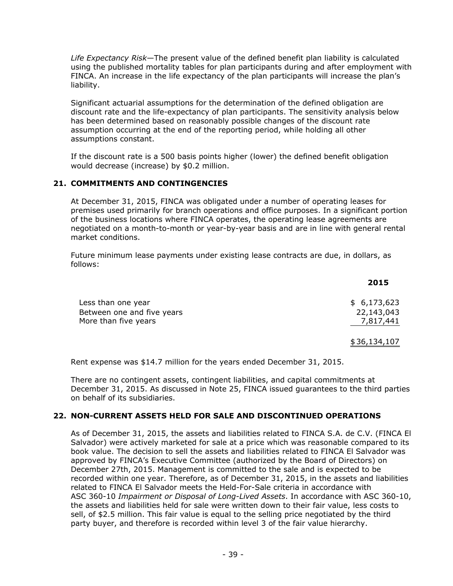*Life Expectancy Risk*—The present value of the defined benefit plan liability is calculated using the published mortality tables for plan participants during and after employment with FINCA. An increase in the life expectancy of the plan participants will increase the plan's liability.

Significant actuarial assumptions for the determination of the defined obligation are discount rate and the life-expectancy of plan participants. The sensitivity analysis below has been determined based on reasonably possible changes of the discount rate assumption occurring at the end of the reporting period, while holding all other assumptions constant.

If the discount rate is a 500 basis points higher (lower) the defined benefit obligation would decrease (increase) by \$0.2 million.

#### **21. COMMITMENTS AND CONTINGENCIES**

At December 31, 2015, FINCA was obligated under a number of operating leases for premises used primarily for branch operations and office purposes. In a significant portion of the business locations where FINCA operates, the operating lease agreements are negotiated on a month-to-month or year-by-year basis and are in line with general rental market conditions.

Future minimum lease payments under existing lease contracts are due, in dollars, as follows:

|                                                  | 2015                      |
|--------------------------------------------------|---------------------------|
| Less than one year<br>Between one and five years | \$6,173,623<br>22,143,043 |
| More than five years                             | 7,817,441<br>\$36,134,107 |

Rent expense was \$14.7 million for the years ended December 31, 2015.

There are no contingent assets, contingent liabilities, and capital commitments at December 31, 2015. As discussed in Note 25, FINCA issued guarantees to the third parties on behalf of its subsidiaries.

#### **22. NON-CURRENT ASSETS HELD FOR SALE AND DISCONTINUED OPERATIONS**

As of December 31, 2015, the assets and liabilities related to FINCA S.A. de C.V. (FINCA El Salvador) were actively marketed for sale at a price which was reasonable compared to its book value. The decision to sell the assets and liabilities related to FINCA El Salvador was approved by FINCA's Executive Committee (authorized by the Board of Directors) on December 27th, 2015. Management is committed to the sale and is expected to be recorded within one year. Therefore, as of December 31, 2015, in the assets and liabilities related to FINCA El Salvador meets the Held-For-Sale criteria in accordance with ASC 360-10 *Impairment or Disposal of Long-Lived Assets*. In accordance with ASC 360-10, the assets and liabilities held for sale were written down to their fair value, less costs to sell, of \$2.5 million. This fair value is equal to the selling price negotiated by the third party buyer, and therefore is recorded within level 3 of the fair value hierarchy.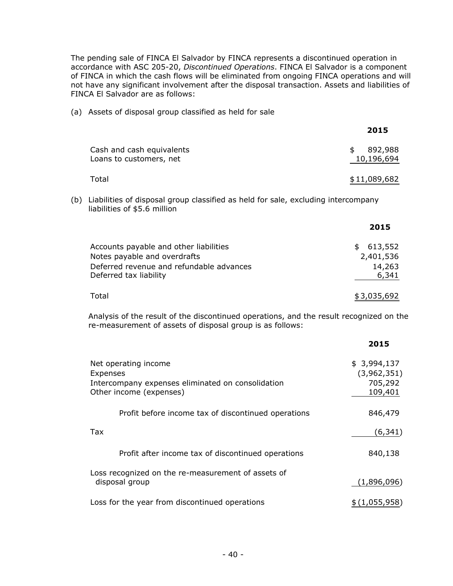The pending sale of FINCA El Salvador by FINCA represents a discontinued operation in accordance with ASC 205-20, *Discontinued Operations*. FINCA El Salvador is a component of FINCA in which the cash flows will be eliminated from ongoing FINCA operations and will not have any significant involvement after the disposal transaction. Assets and liabilities of FINCA El Salvador are as follows:

(a) Assets of disposal group classified as held for sale

|                                                                                                                                                      |                                                                                                                                              | 2015                                             |
|------------------------------------------------------------------------------------------------------------------------------------------------------|----------------------------------------------------------------------------------------------------------------------------------------------|--------------------------------------------------|
|                                                                                                                                                      | Cash and cash equivalents<br>Loans to customers, net                                                                                         | \$<br>892,988<br>10,196,694                      |
|                                                                                                                                                      | Total                                                                                                                                        | \$11,089,682                                     |
| (b)                                                                                                                                                  | Liabilities of disposal group classified as held for sale, excluding intercompany<br>liabilities of \$5.6 million                            |                                                  |
|                                                                                                                                                      |                                                                                                                                              | 2015                                             |
|                                                                                                                                                      | Accounts payable and other liabilities<br>Notes payable and overdrafts<br>Deferred revenue and refundable advances<br>Deferred tax liability | 613,552<br>\$<br>2,401,536<br>14,263<br>6,341    |
|                                                                                                                                                      | Total                                                                                                                                        | \$3,035,692                                      |
| Analysis of the result of the discontinued operations, and the result recognized on the<br>re-measurement of assets of disposal group is as follows: |                                                                                                                                              |                                                  |
|                                                                                                                                                      |                                                                                                                                              | 2015                                             |
|                                                                                                                                                      | Net operating income<br>Expenses<br>Intercompany expenses eliminated on consolidation<br>Other income (expenses)                             | \$3,994,137<br>(3,962,351)<br>705,292<br>109,401 |
|                                                                                                                                                      | Profit before income tax of discontinued operations                                                                                          | 846,479                                          |
|                                                                                                                                                      | Tax                                                                                                                                          | (6, 341)                                         |
|                                                                                                                                                      | Profit after income tax of discontinued operations                                                                                           | 840,138                                          |

Loss recognized on the re-measurement of assets of disposal group (1,896,096) Loss for the year from discontinued operations  $$(1,055,958)$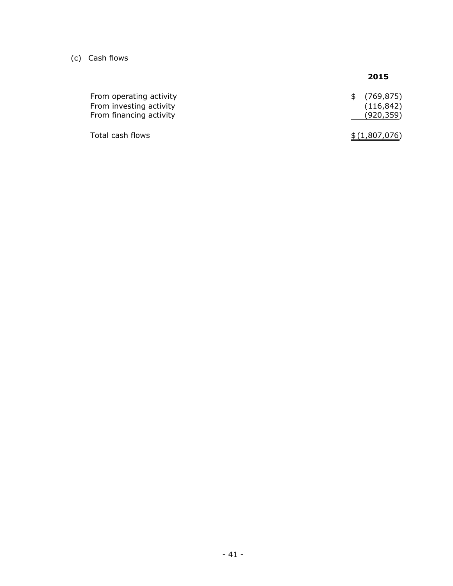(c) Cash flows

## **2015**

| From operating activity<br>From investing activity<br>From financing activity | \$ (769, 875)<br>(116, 842)<br>(920, 359) |
|-------------------------------------------------------------------------------|-------------------------------------------|
| Total cash flows                                                              | \$(1,807,076)                             |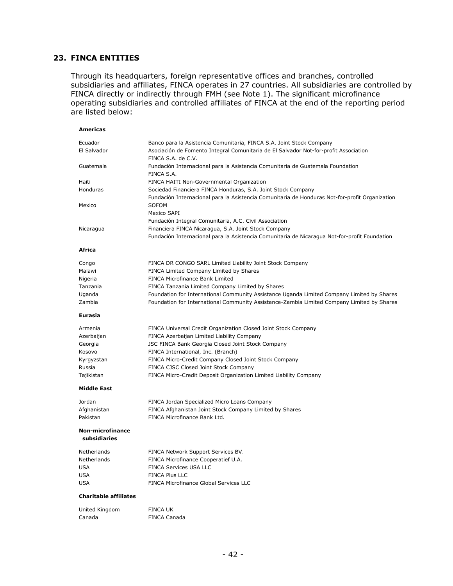#### **23. FINCA ENTITIES**

Through its headquarters, foreign representative offices and branches, controlled subsidiaries and affiliates, FINCA operates in 27 countries. All subsidiaries are controlled by FINCA directly or indirectly through FMH (see Note 1). The significant microfinance operating subsidiaries and controlled affiliates of FINCA at the end of the reporting period are listed below:

| <b>Americas</b>                         |                                                                                                            |
|-----------------------------------------|------------------------------------------------------------------------------------------------------------|
| Ecuador                                 | Banco para la Asistencia Comunitaria, FINCA S.A. Joint Stock Company                                       |
| El Salvador                             | Asociación de Fomento Integral Comunitaria de El Salvador Not-for-profit Association<br>FINCA S.A. de C.V. |
| Guatemala                               | Fundación Internacional para la Asistencia Comunitaria de Guatemala Foundation<br>FINCA S.A.               |
| Haiti                                   | FINCA HAITI Non-Governmental Organization                                                                  |
| Honduras                                | Sociedad Financiera FINCA Honduras, S.A. Joint Stock Company                                               |
|                                         | Fundación Internacional para la Asistencia Comunitaria de Honduras Not-for-profit Organization             |
| Mexico                                  | SOFOM                                                                                                      |
|                                         | Mexico SAPI                                                                                                |
|                                         | Fundación Integral Comunitaria, A.C. Civil Association                                                     |
| Nicaragua                               | Financiera FINCA Nicaragua, S.A. Joint Stock Company                                                       |
|                                         | Fundación Internacional para la Asistencia Comunitaria de Nicaragua Not-for-profit Foundation              |
| Africa                                  |                                                                                                            |
| Congo                                   | FINCA DR CONGO SARL Limited Liability Joint Stock Company                                                  |
| Malawi                                  | FINCA Limited Company Limited by Shares                                                                    |
| Nigeria                                 | <b>FINCA Microfinance Bank Limited</b>                                                                     |
| Tanzania                                | FINCA Tanzania Limited Company Limited by Shares                                                           |
| Uganda                                  | Foundation for International Community Assistance Uganda Limited Company Limited by Shares                 |
| Zambia                                  | Foundation for International Community Assistance-Zambia Limited Company Limited by Shares                 |
| <b>Eurasia</b>                          |                                                                                                            |
| Armenia                                 | FINCA Universal Credit Organization Closed Joint Stock Company                                             |
| Azerbaijan                              | FINCA Azerbaijan Limited Liability Company                                                                 |
| Georgia                                 | JSC FINCA Bank Georgia Closed Joint Stock Company                                                          |
| Kosovo                                  | FINCA International, Inc. (Branch)                                                                         |
| Kyrgyzstan                              | FINCA Micro-Credit Company Closed Joint Stock Company                                                      |
| Russia                                  | FINCA CJSC Closed Joint Stock Company                                                                      |
| Tajikistan                              | FINCA Micro-Credit Deposit Organization Limited Liability Company                                          |
| <b>Middle East</b>                      |                                                                                                            |
| Jordan                                  | FINCA Jordan Specialized Micro Loans Company                                                               |
| Afghanistan                             | FINCA Afghanistan Joint Stock Company Limited by Shares                                                    |
| Pakistan                                | FINCA Microfinance Bank Ltd.                                                                               |
| <b>Non-microfinance</b><br>subsidiaries |                                                                                                            |
| Netherlands                             | FINCA Network Support Services BV.                                                                         |
| Netherlands                             | FINCA Microfinance Cooperatief U.A.                                                                        |
| <b>USA</b>                              | <b>FINCA Services USA LLC</b>                                                                              |
| <b>USA</b>                              | FINCA Plus LLC                                                                                             |
| USA                                     | <b>FINCA Microfinance Global Services LLC</b>                                                              |
| <b>Charitable affiliates</b>            |                                                                                                            |
| United Kingdom                          | FINCA UK                                                                                                   |
| Canada                                  | FINCA Canada                                                                                               |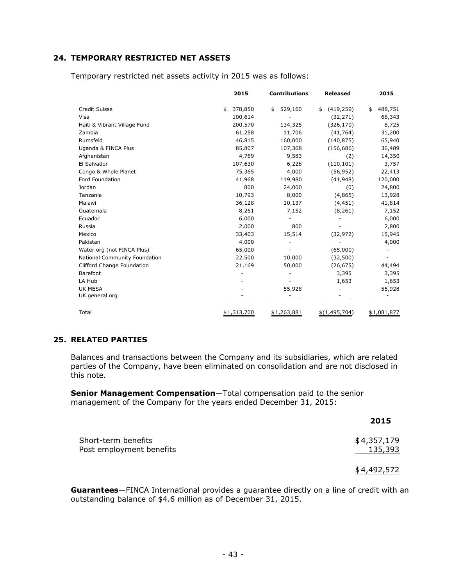#### **24. TEMPORARY RESTRICTED NET ASSETS**

|                               | 2015          | <b>Contributions</b> | <b>Released</b>  | 2015          |
|-------------------------------|---------------|----------------------|------------------|---------------|
| Credit Suisse                 | \$<br>378,850 | 529,160<br>\$        | (419, 259)<br>\$ | 488,751<br>\$ |
| Visa                          | 100,614       |                      | (32, 271)        | 68,343        |
| Haiti & Vibrant Village Fund  | 200,570       | 134,325              | (326, 170)       | 8,725         |
| Zambia                        | 61,258        | 11,706               | (41, 764)        | 31,200        |
| Rumsfeld                      | 46,815        | 160,000              | (140, 875)       | 65,940        |
| Uganda & FINCA Plus           | 85,807        | 107,368              | (156, 686)       | 36,489        |
| Afghanistan                   | 4,769         | 9,583                | (2)              | 14,350        |
| El Salvador                   | 107,630       | 6,228                | (110, 101)       | 3,757         |
| Congo & Whole Planet          | 75,365        | 4,000                | (56, 952)        | 22,413        |
| Ford Foundation               | 41,968        | 119,980              | (41, 948)        | 120,000       |
| Jordan                        | 800           | 24,000               | (0)              | 24,800        |
| Tanzania                      | 10,793        | 8,000                | (4,865)          | 13,928        |
| Malawi                        | 36,128        | 10,137               | (4, 451)         | 41,814        |
| Guatemala                     | 8,261         | 7,152                | (8, 261)         | 7,152         |
| Ecuador                       | 6,000         |                      |                  | 6,000         |
| Russia                        | 2,000         | 800                  |                  | 2,800         |
| Mexico                        | 33,403        | 15,514               | (32, 972)        | 15,945        |
| Pakistan                      | 4,000         |                      |                  | 4,000         |
| Water org (not FINCA Plus)    | 65,000        |                      | (65,000)         |               |
| National Community Foundation | 22,500        | 10,000               | (32,500)         |               |
| Clifford Change Foundation    | 21,169        | 50,000               | (26, 675)        | 44,494        |
| Barefoot                      |               |                      | 3,395            | 3,395         |
| LA Hub                        |               |                      | 1,653            | 1,653         |
| <b>UK MESA</b>                |               | 55,928               |                  | 55,928        |
| UK general org                |               |                      |                  |               |
| Total                         | \$1,313,700   | \$1,263,881          | \$(1,495,704)    | \$1,081,877   |

Temporary restricted net assets activity in 2015 was as follows:

#### **25. RELATED PARTIES**

Balances and transactions between the Company and its subsidiaries, which are related parties of the Company, have been eliminated on consolidation and are not disclosed in this note.

**Senior Management Compensation**—Total compensation paid to the senior management of the Company for the years ended December 31, 2015:

|                          | 2015        |
|--------------------------|-------------|
| Short-term benefits      | \$4,357,179 |
| Post employment benefits | 135,393     |

\$4,492,572

**Guarantees**—FINCA International provides a guarantee directly on a line of credit with an outstanding balance of \$4.6 million as of December 31, 2015.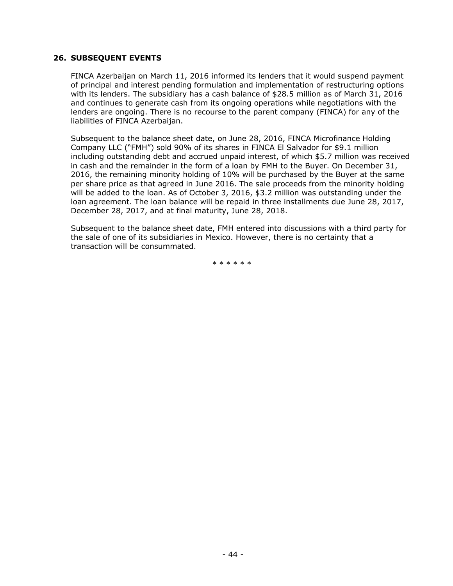#### **26. SUBSEQUENT EVENTS**

FINCA Azerbaijan on March 11, 2016 informed its lenders that it would suspend payment of principal and interest pending formulation and implementation of restructuring options with its lenders. The subsidiary has a cash balance of \$28.5 million as of March 31, 2016 and continues to generate cash from its ongoing operations while negotiations with the lenders are ongoing. There is no recourse to the parent company (FINCA) for any of the liabilities of FINCA Azerbaijan.

Subsequent to the balance sheet date, on June 28, 2016, FINCA Microfinance Holding Company LLC ("FMH") sold 90% of its shares in FINCA El Salvador for \$9.1 million including outstanding debt and accrued unpaid interest, of which \$5.7 million was received in cash and the remainder in the form of a loan by FMH to the Buyer. On December 31, 2016, the remaining minority holding of 10% will be purchased by the Buyer at the same per share price as that agreed in June 2016. The sale proceeds from the minority holding will be added to the loan. As of October 3, 2016, \$3.2 million was outstanding under the loan agreement. The loan balance will be repaid in three installments due June 28, 2017, December 28, 2017, and at final maturity, June 28, 2018.

Subsequent to the balance sheet date, FMH entered into discussions with a third party for the sale of one of its subsidiaries in Mexico. However, there is no certainty that a transaction will be consummated.

\*\*\*\*\*\*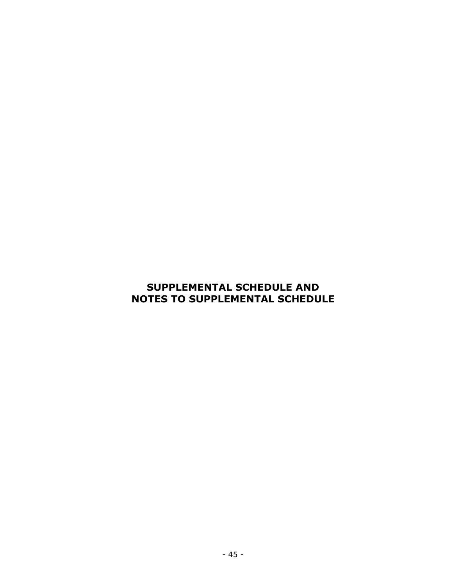# **SUPPLEMENTAL SCHEDULE AND NOTES TO SUPPLEMENTAL SCHEDULE**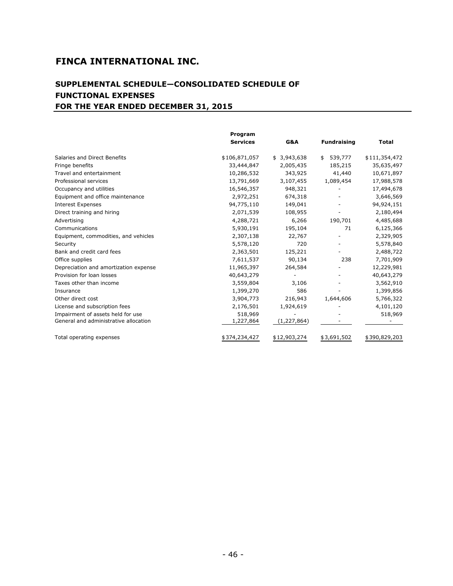## **SUPPLEMENTAL SCHEDULE—CONSOLIDATED SCHEDULE OF FUNCTIONAL EXPENSES FOR THE YEAR ENDED DECEMBER 31, 2015**

|                                       | Program         |                          |                    |               |
|---------------------------------------|-----------------|--------------------------|--------------------|---------------|
|                                       | <b>Services</b> | G&A                      | <b>Fundraising</b> | <b>Total</b>  |
| Salaries and Direct Benefits          | \$106,871,057   | \$3,943,638              | 539,777<br>\$      | \$111,354,472 |
| Fringe benefits                       | 33,444,847      | 2,005,435                | 185,215            | 35,635,497    |
| Travel and entertainment              | 10,286,532      | 343,925                  | 41,440             | 10,671,897    |
| Professional services                 | 13,791,669      | 3,107,455                | 1,089,454          | 17,988,578    |
| Occupancy and utilities               | 16,546,357      | 948,321                  |                    | 17,494,678    |
| Equipment and office maintenance      | 2,972,251       | 674,318                  |                    | 3,646,569     |
| <b>Interest Expenses</b>              | 94,775,110      | 149,041                  |                    | 94,924,151    |
| Direct training and hiring            | 2,071,539       | 108,955                  |                    | 2,180,494     |
| Advertising                           | 4,288,721       | 6,266                    | 190,701            | 4,485,688     |
| Communications                        | 5,930,191       | 195,104                  | 71                 | 6,125,366     |
| Equipment, commodities, and vehicles  | 2,307,138       | 22,767                   |                    | 2,329,905     |
| Security                              | 5,578,120       | 720                      | ۰                  | 5,578,840     |
| Bank and credit card fees             | 2,363,501       | 125,221                  |                    | 2,488,722     |
| Office supplies                       | 7,611,537       | 90,134                   | 238                | 7,701,909     |
| Depreciation and amortization expense | 11,965,397      | 264,584                  |                    | 12,229,981    |
| Provision for loan losses             | 40,643,279      | $\overline{\phantom{a}}$ |                    | 40,643,279    |
| Taxes other than income               | 3,559,804       | 3,106                    |                    | 3,562,910     |
| Insurance                             | 1,399,270       | 586                      |                    | 1,399,856     |
| Other direct cost                     | 3,904,773       | 216,943                  | 1,644,606          | 5,766,322     |
| License and subscription fees         | 2,176,501       | 1,924,619                |                    | 4,101,120     |
| Impairment of assets held for use     | 518,969         |                          |                    | 518,969       |
| General and administrative allocation | 1,227,864       | (1, 227, 864)            |                    |               |
| Total operating expenses              | \$374,234,427   | \$12,903,274             | \$3,691,502        | \$390,829,203 |